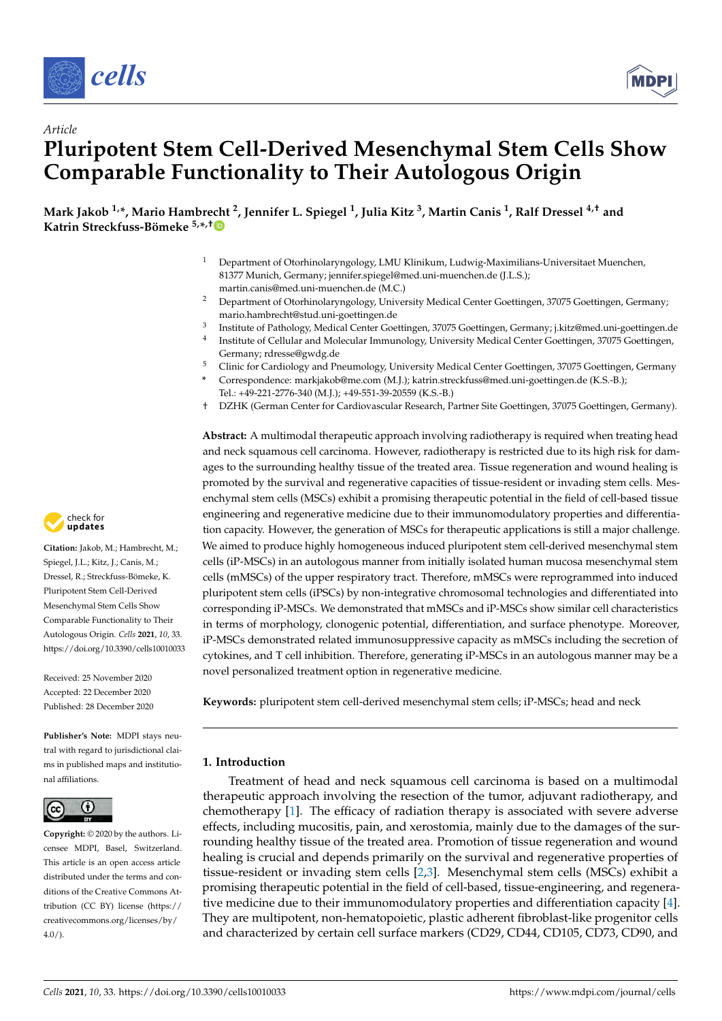

*Article*



# **Pluripotent Stem Cell-Derived Mesenchymal Stem Cells Show Comparable Functionality to Their Autologous Origin**

**Mark Jakob 1,\*, Mario Hambrecht <sup>2</sup> , Jennifer L. Spiegel <sup>1</sup> , Julia Kitz <sup>3</sup> , Martin Canis <sup>1</sup> , Ralf Dressel 4,† and Katrin Streckfuss-Bömeke 5,\* ,[†](https://orcid.org/0000-0001-5137-7228)**

- <sup>1</sup> Department of Otorhinolaryngology, LMU Klinikum, Ludwig-Maximilians-Universitaet Muenchen, 81377 Munich, Germany; jennifer.spiegel@med.uni-muenchen.de (J.L.S.); martin.canis@med.uni-muenchen.de (M.C.)
- <sup>2</sup> Department of Otorhinolaryngology, University Medical Center Goettingen, 37075 Goettingen, Germany; mario.hambrecht@stud.uni-goettingen.de
- 3 Institute of Pathology, Medical Center Goettingen, 37075 Goettingen, Germany; j.kitz@med.uni-goettingen.de
- 4 Institute of Cellular and Molecular Immunology, University Medical Center Goettingen, 37075 Goettingen, Germany; rdresse@gwdg.de
- <sup>5</sup> Clinic for Cardiology and Pneumology, University Medical Center Goettingen, 37075 Goettingen, Germany
- **\*** Correspondence: markjakob@me.com (M.J.); katrin.streckfuss@med.uni-goettingen.de (K.S.-B.); Tel.: +49-221-2776-340 (M.J.); +49-551-39-20559 (K.S.-B.)
- † DZHK (German Center for Cardiovascular Research, Partner Site Goettingen, 37075 Goettingen, Germany).

**Abstract:** A multimodal therapeutic approach involving radiotherapy is required when treating head and neck squamous cell carcinoma. However, radiotherapy is restricted due to its high risk for damages to the surrounding healthy tissue of the treated area. Tissue regeneration and wound healing is promoted by the survival and regenerative capacities of tissue-resident or invading stem cells. Mesenchymal stem cells (MSCs) exhibit a promising therapeutic potential in the field of cell-based tissue engineering and regenerative medicine due to their immunomodulatory properties and differentiation capacity. However, the generation of MSCs for therapeutic applications is still a major challenge. We aimed to produce highly homogeneous induced pluripotent stem cell-derived mesenchymal stem cells (iP-MSCs) in an autologous manner from initially isolated human mucosa mesenchymal stem cells (mMSCs) of the upper respiratory tract. Therefore, mMSCs were reprogrammed into induced pluripotent stem cells (iPSCs) by non-integrative chromosomal technologies and differentiated into corresponding iP-MSCs. We demonstrated that mMSCs and iP-MSCs show similar cell characteristics in terms of morphology, clonogenic potential, differentiation, and surface phenotype. Moreover, iP-MSCs demonstrated related immunosuppressive capacity as mMSCs including the secretion of cytokines, and T cell inhibition. Therefore, generating iP-MSCs in an autologous manner may be a novel personalized treatment option in regenerative medicine.

**Keywords:** pluripotent stem cell-derived mesenchymal stem cells; iP-MSCs; head and neck

# **1. Introduction**

Treatment of head and neck squamous cell carcinoma is based on a multimodal therapeutic approach involving the resection of the tumor, adjuvant radiotherapy, and chemotherapy [\[1\]](#page-15-0). The efficacy of radiation therapy is associated with severe adverse effects, including mucositis, pain, and xerostomia, mainly due to the damages of the surrounding healthy tissue of the treated area. Promotion of tissue regeneration and wound healing is crucial and depends primarily on the survival and regenerative properties of tissue-resident or invading stem cells [\[2,](#page-15-1)[3\]](#page-15-2). Mesenchymal stem cells (MSCs) exhibit a promising therapeutic potential in the field of cell-based, tissue-engineering, and regenerative medicine due to their immunomodulatory properties and differentiation capacity [\[4\]](#page-15-3). They are multipotent, non-hematopoietic, plastic adherent fibroblast-like progenitor cells and characterized by certain cell surface markers (CD29, CD44, CD105, CD73, CD90, and



**Citation:** Jakob, M.; Hambrecht, M.; Spiegel, J.L.; Kitz, J.; Canis, M.; Dressel, R.; Streckfuss-Bömeke, K. Pluripotent Stem Cell-Derived Mesenchymal Stem Cells Show Comparable Functionality to Their Autologous Origin. *Cells* **2021**, *10*, 33. <https://doi.org/10.3390/cells10010033>

Received: 25 November 2020 Accepted: 22 December 2020 Published: 28 December 2020

**Publisher's Note:** MDPI stays neutral with regard to jurisdictional claims in published maps and institutional affiliations.



**Copyright:** © 2020 by the authors. Licensee MDPI, Basel, Switzerland. This article is an open access article distributed under the terms and conditions of the Creative Commons Attribution (CC BY) license [\(https://](https://creativecommons.org/licenses/by/4.0/) [creativecommons.org/licenses/by/](https://creativecommons.org/licenses/by/4.0/)  $4.0/$ ).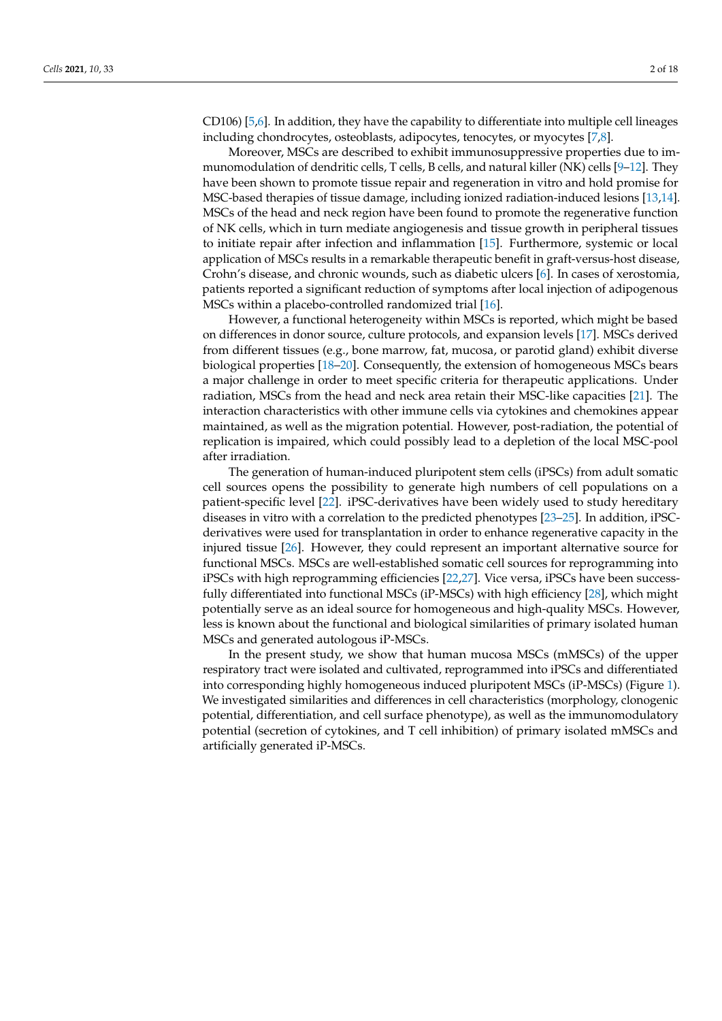CD106) [\[5,](#page-15-4)[6\]](#page-15-5). In addition, they have the capability to differentiate into multiple cell lineages including chondrocytes, osteoblasts, adipocytes, tenocytes, or myocytes [\[7](#page-15-6)[,8\]](#page-15-7).

Moreover, MSCs are described to exhibit immunosuppressive properties due to immunomodulation of dendritic cells, T cells, B cells, and natural killer (NK) cells [\[9](#page-15-8)[–12\]](#page-15-9). They have been shown to promote tissue repair and regeneration in vitro and hold promise for MSC-based therapies of tissue damage, including ionized radiation-induced lesions [\[13](#page-15-10)[,14\]](#page-15-11). MSCs of the head and neck region have been found to promote the regenerative function of NK cells, which in turn mediate angiogenesis and tissue growth in peripheral tissues to initiate repair after infection and inflammation [\[15\]](#page-15-12). Furthermore, systemic or local application of MSCs results in a remarkable therapeutic benefit in graft-versus-host disease, Crohn's disease, and chronic wounds, such as diabetic ulcers [\[6\]](#page-15-5). In cases of xerostomia, patients reported a significant reduction of symptoms after local injection of adipogenous MSCs within a placebo-controlled randomized trial [\[16\]](#page-15-13).

However, a functional heterogeneity within MSCs is reported, which might be based on differences in donor source, culture protocols, and expansion levels [\[17\]](#page-15-14). MSCs derived from different tissues (e.g., bone marrow, fat, mucosa, or parotid gland) exhibit diverse biological properties [\[18–](#page-15-15)[20\]](#page-15-16). Consequently, the extension of homogeneous MSCs bears a major challenge in order to meet specific criteria for therapeutic applications. Under radiation, MSCs from the head and neck area retain their MSC-like capacities [\[21\]](#page-15-17). The interaction characteristics with other immune cells via cytokines and chemokines appear maintained, as well as the migration potential. However, post-radiation, the potential of replication is impaired, which could possibly lead to a depletion of the local MSC-pool after irradiation.

The generation of human-induced pluripotent stem cells (iPSCs) from adult somatic cell sources opens the possibility to generate high numbers of cell populations on a patient-specific level [\[22\]](#page-16-0). iPSC-derivatives have been widely used to study hereditary diseases in vitro with a correlation to the predicted phenotypes [\[23–](#page-16-1)[25\]](#page-16-2). In addition, iPSCderivatives were used for transplantation in order to enhance regenerative capacity in the injured tissue [\[26\]](#page-16-3). However, they could represent an important alternative source for functional MSCs. MSCs are well-established somatic cell sources for reprogramming into iPSCs with high reprogramming efficiencies [\[22,](#page-16-0)[27\]](#page-16-4). Vice versa, iPSCs have been successfully differentiated into functional MSCs (iP-MSCs) with high efficiency [\[28\]](#page-16-5), which might potentially serve as an ideal source for homogeneous and high-quality MSCs. However, less is known about the functional and biological similarities of primary isolated human MSCs and generated autologous iP-MSCs.

In the present study, we show that human mucosa MSCs (mMSCs) of the upper respiratory tract were isolated and cultivated, reprogrammed into iPSCs and differentiated into corresponding highly homogeneous induced pluripotent MSCs (iP-MSCs) (Figure [1\)](#page-2-0). We investigated similarities and differences in cell characteristics (morphology, clonogenic potential, differentiation, and cell surface phenotype), as well as the immunomodulatory potential (secretion of cytokines, and T cell inhibition) of primary isolated mMSCs and artificially generated iP-MSCs.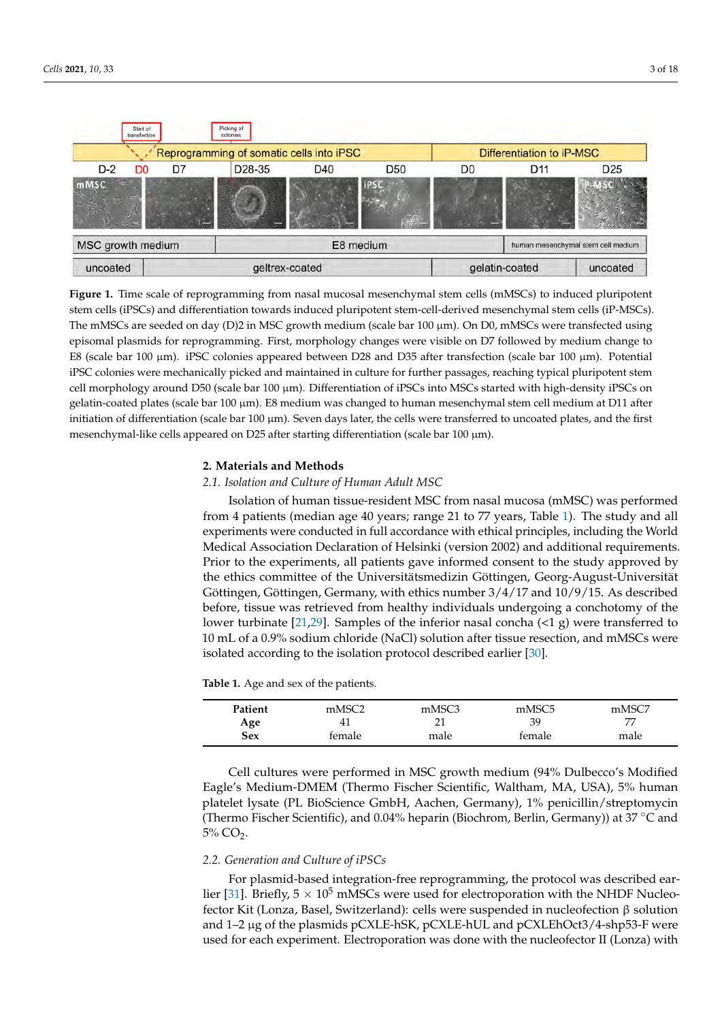<span id="page-2-0"></span>

**Figure 1.** Time scale of reprogramming from nasal mucosal mesenchymal stem cells (mMSCs) to induced pluripotent stem cells (iPSCs) and differentiation towards induced pluripotent stem-cell-derived mesenchymal stem cells (iP-MSCs). The mMSCs are seeded on day (D)2 in MSC growth medium (scale bar 100 µm). On D0, mMSCs were transfected using episomal plasmids for reprogramming. First, morphology changes were visible on D7 followed by medium change to E8 (scale bar 100 µm). iPSC colonies appeared between D28 and D35 after transfection (scale bar 100 µm). Potential iPSC colonies were mechanically picked and maintained in culture for further passages, reaching typical pluripotent stem cell morphology around D50 (scale bar 100 µm). Differentiation of iPSCs into MSCs started with high-density iPSCs on gelatin-coated plates (scale bar 100 µm). E8 medium was changed to human mesenchymal stem cell medium at D11 after initiation of differentiation (scale bar 100  $\mu$ m). Seven days later, the cells were transferred to uncoated plates, and the first mesenchymal-like cells appeared on D25 after starting differentiation (scale bar  $100 \mu m$ ).

#### **2. Materials and Methods**

#### *2.1. Isolation and Culture of Human Adult MSC*

Isolation of human tissue-resident MSC from nasal mucosa (mMSC) was performed from 4 patients (median age 40 years; range 21 to 77 years, Table [1\)](#page-2-1). The study and all experiments were conducted in full accordance with ethical principles, including the World Medical Association Declaration of Helsinki (version 2002) and additional requirements. Prior to the experiments, all patients gave informed consent to the study approved by the ethics committee of the Universitätsmedizin Göttingen, Georg-August-Universität Göttingen, Göttingen, Germany, with ethics number 3/4/17 and 10/9/15. As described before, tissue was retrieved from healthy individuals undergoing a conchotomy of the lower turbinate [\[21,](#page-15-17)[29\]](#page-16-6). Samples of the inferior nasal concha (<1 g) were transferred to 10 mL of a 0.9% sodium chloride (NaCl) solution after tissue resection, and mMSCs were isolated according to the isolation protocol described earlier [\[30\]](#page-16-7).

<span id="page-2-1"></span>**Table 1.** Age and sex of the patients.

| Patient | mMSC <sub>2</sub> | mMSC3 | mMSC <sub>5</sub> | mMSC7 |
|---------|-------------------|-------|-------------------|-------|
| Age     | 4 <sub>1</sub>    |       | 39                | 77    |
| Sex     | female            | male  | female            | male  |

Cell cultures were performed in MSC growth medium (94% Dulbecco's Modified Eagle's Medium-DMEM (Thermo Fischer Scientific, Waltham, MA, USA), 5% human platelet lysate (PL BioScience GmbH, Aachen, Germany), 1% penicillin/streptomycin (Thermo Fischer Scientific), and 0.04% heparin (Biochrom, Berlin, Germany)) at 37 ◦C and  $5\%$  CO<sub>2</sub>.

# *2.2. Generation and Culture of iPSCs*

For plasmid-based integration-free reprogramming, the protocol was described ear-lier [\[31\]](#page-16-8). Briefly,  $5 \times 10^5$  mMSCs were used for electroporation with the NHDF Nucleofector Kit (Lonza, Basel, Switzerland): cells were suspended in nucleofection β solution and 1–2 µg of the plasmids pCXLE-hSK, pCXLE-hUL and pCXLEhOct3/4-shp53-F were used for each experiment. Electroporation was done with the nucleofector II (Lonza) with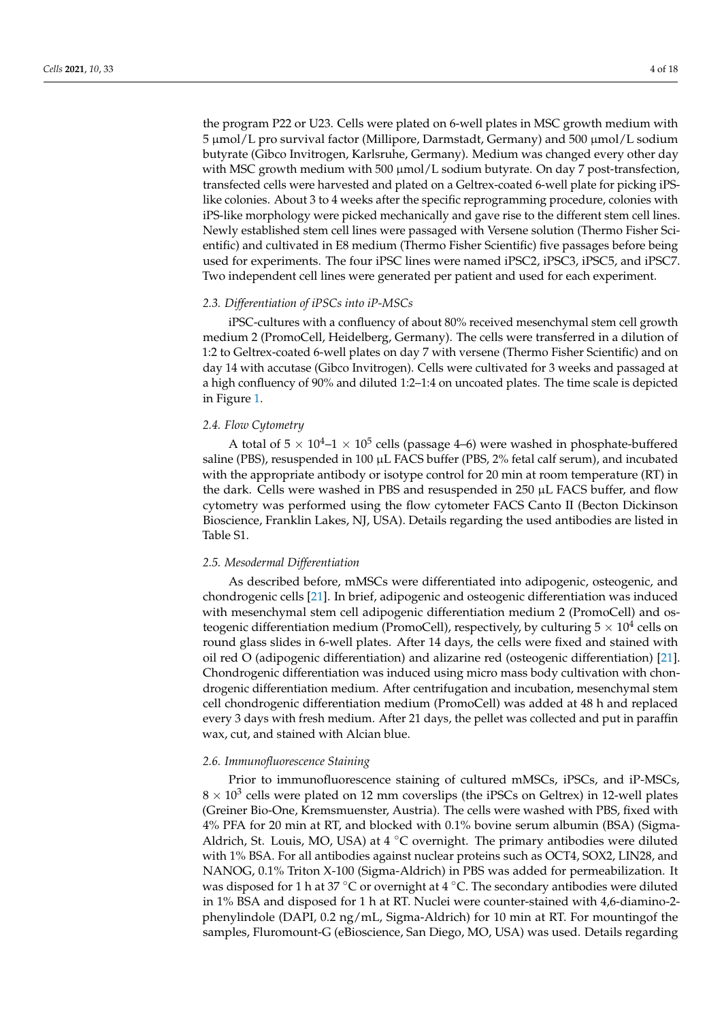the program P22 or U23. Cells were plated on 6-well plates in MSC growth medium with 5 µmol/L pro survival factor (Millipore, Darmstadt, Germany) and 500 µmol/L sodium butyrate (Gibco Invitrogen, Karlsruhe, Germany). Medium was changed every other day with MSC growth medium with 500 µmol/L sodium butyrate. On day 7 post-transfection, transfected cells were harvested and plated on a Geltrex-coated 6-well plate for picking iPSlike colonies. About 3 to 4 weeks after the specific reprogramming procedure, colonies with iPS-like morphology were picked mechanically and gave rise to the different stem cell lines. Newly established stem cell lines were passaged with Versene solution (Thermo Fisher Scientific) and cultivated in E8 medium (Thermo Fisher Scientific) five passages before being used for experiments. The four iPSC lines were named iPSC2, iPSC3, iPSC5, and iPSC7. Two independent cell lines were generated per patient and used for each experiment.

#### *2.3. Differentiation of iPSCs into iP-MSCs*

iPSC-cultures with a confluency of about 80% received mesenchymal stem cell growth medium 2 (PromoCell, Heidelberg, Germany). The cells were transferred in a dilution of 1:2 to Geltrex-coated 6-well plates on day 7 with versene (Thermo Fisher Scientific) and on day 14 with accutase (Gibco Invitrogen). Cells were cultivated for 3 weeks and passaged at a high confluency of 90% and diluted 1:2–1:4 on uncoated plates. The time scale is depicted in Figure [1.](#page-2-0)

# *2.4. Flow Cytometry*

A total of 5  $\times$  10<sup>4</sup>-1  $\times$  10<sup>5</sup> cells (passage 4–6) were washed in phosphate-buffered saline (PBS), resuspended in 100 µL FACS buffer (PBS, 2% fetal calf serum), and incubated with the appropriate antibody or isotype control for 20 min at room temperature (RT) in the dark. Cells were washed in PBS and resuspended in 250 µL FACS buffer, and flow cytometry was performed using the flow cytometer FACS Canto II (Becton Dickinson Bioscience, Franklin Lakes, NJ, USA). Details regarding the used antibodies are listed in Table S1.

# *2.5. Mesodermal Differentiation*

As described before, mMSCs were differentiated into adipogenic, osteogenic, and chondrogenic cells [\[21\]](#page-15-17). In brief, adipogenic and osteogenic differentiation was induced with mesenchymal stem cell adipogenic differentiation medium 2 (PromoCell) and osteogenic differentiation medium (PromoCell), respectively, by culturing  $5\times10^4$  cells on round glass slides in 6-well plates. After 14 days, the cells were fixed and stained with oil red O (adipogenic differentiation) and alizarine red (osteogenic differentiation) [\[21\]](#page-15-17). Chondrogenic differentiation was induced using micro mass body cultivation with chondrogenic differentiation medium. After centrifugation and incubation, mesenchymal stem cell chondrogenic differentiation medium (PromoCell) was added at 48 h and replaced every 3 days with fresh medium. After 21 days, the pellet was collected and put in paraffin wax, cut, and stained with Alcian blue.

#### *2.6. Immunofluorescence Staining*

Prior to immunofluorescence staining of cultured mMSCs, iPSCs, and iP-MSCs,  $8 \times 10^3$  cells were plated on 12 mm coverslips (the iPSCs on Geltrex) in 12-well plates (Greiner Bio-One, Kremsmuenster, Austria). The cells were washed with PBS, fixed with 4% PFA for 20 min at RT, and blocked with 0.1% bovine serum albumin (BSA) (Sigma-Aldrich, St. Louis, MO, USA) at  $4 °C$  overnight. The primary antibodies were diluted with 1% BSA. For all antibodies against nuclear proteins such as OCT4, SOX2, LIN28, and NANOG, 0.1% Triton X-100 (Sigma-Aldrich) in PBS was added for permeabilization. It was disposed for 1 h at 37 °C or overnight at 4 °C. The secondary antibodies were diluted in 1% BSA and disposed for 1 h at RT. Nuclei were counter-stained with 4,6-diamino-2 phenylindole (DAPI, 0.2 ng/mL, Sigma-Aldrich) for 10 min at RT. For mountingof the samples, Fluromount-G (eBioscience, San Diego, MO, USA) was used. Details regarding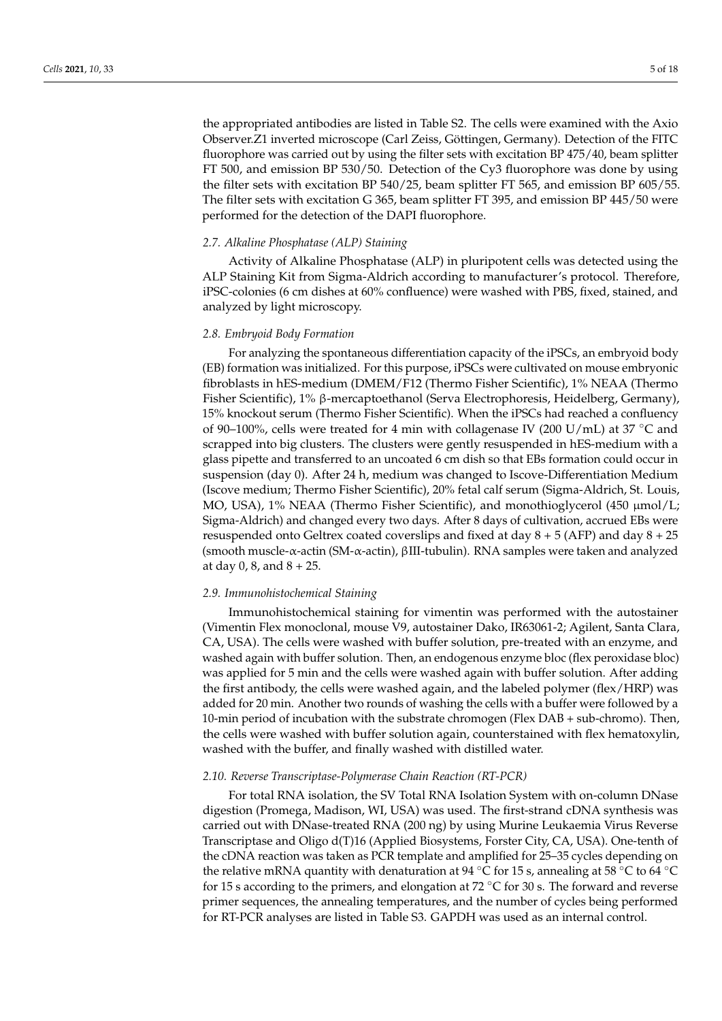the appropriated antibodies are listed in Table S2. The cells were examined with the Axio Observer.Z1 inverted microscope (Carl Zeiss, Göttingen, Germany). Detection of the FITC fluorophore was carried out by using the filter sets with excitation BP 475/40, beam splitter FT 500, and emission BP 530/50. Detection of the Cy3 fluorophore was done by using the filter sets with excitation BP 540/25, beam splitter FT 565, and emission BP 605/55. The filter sets with excitation G 365, beam splitter FT 395, and emission BP 445/50 were performed for the detection of the DAPI fluorophore.

#### *2.7. Alkaline Phosphatase (ALP) Staining*

Activity of Alkaline Phosphatase (ALP) in pluripotent cells was detected using the ALP Staining Kit from Sigma-Aldrich according to manufacturer's protocol. Therefore, iPSC-colonies (6 cm dishes at 60% confluence) were washed with PBS, fixed, stained, and analyzed by light microscopy.

#### *2.8. Embryoid Body Formation*

For analyzing the spontaneous differentiation capacity of the iPSCs, an embryoid body (EB) formation was initialized. For this purpose, iPSCs were cultivated on mouse embryonic fibroblasts in hES-medium (DMEM/F12 (Thermo Fisher Scientific), 1% NEAA (Thermo Fisher Scientific), 1% β-mercaptoethanol (Serva Electrophoresis, Heidelberg, Germany), 15% knockout serum (Thermo Fisher Scientific). When the iPSCs had reached a confluency of 90–100%, cells were treated for 4 min with collagenase IV (200 U/mL) at 37  $\degree$ C and scrapped into big clusters. The clusters were gently resuspended in hES-medium with a glass pipette and transferred to an uncoated 6 cm dish so that EBs formation could occur in suspension (day 0). After 24 h, medium was changed to Iscove-Differentiation Medium (Iscove medium; Thermo Fisher Scientific), 20% fetal calf serum (Sigma-Aldrich, St. Louis, MO, USA), 1% NEAA (Thermo Fisher Scientific), and monothioglycerol (450  $\mu$ mol/L; Sigma-Aldrich) and changed every two days. After 8 days of cultivation, accrued EBs were resuspended onto Geltrex coated coverslips and fixed at day  $8 + 5$  (AFP) and day  $8 + 25$ (smooth muscle-α-actin (SM-α-actin), βIII-tubulin). RNA samples were taken and analyzed at day 0, 8, and  $8 + 25$ .

#### *2.9. Immunohistochemical Staining*

Immunohistochemical staining for vimentin was performed with the autostainer (Vimentin Flex monoclonal, mouse V9, autostainer Dako, IR63061-2; Agilent, Santa Clara, CA, USA). The cells were washed with buffer solution, pre-treated with an enzyme, and washed again with buffer solution. Then, an endogenous enzyme bloc (flex peroxidase bloc) was applied for 5 min and the cells were washed again with buffer solution. After adding the first antibody, the cells were washed again, and the labeled polymer (flex/HRP) was added for 20 min. Another two rounds of washing the cells with a buffer were followed by a 10-min period of incubation with the substrate chromogen (Flex DAB + sub-chromo). Then, the cells were washed with buffer solution again, counterstained with flex hematoxylin, washed with the buffer, and finally washed with distilled water.

# *2.10. Reverse Transcriptase-Polymerase Chain Reaction (RT-PCR)*

For total RNA isolation, the SV Total RNA Isolation System with on-column DNase digestion (Promega, Madison, WI, USA) was used. The first-strand cDNA synthesis was carried out with DNase-treated RNA (200 ng) by using Murine Leukaemia Virus Reverse Transcriptase and Oligo d(T)16 (Applied Biosystems, Forster City, CA, USA). One-tenth of the cDNA reaction was taken as PCR template and amplified for 25–35 cycles depending on the relative mRNA quantity with denaturation at 94 °C for 15 s, annealing at 58 °C to 64 °C for 15 s according to the primers, and elongation at 72  $\degree$ C for 30 s. The forward and reverse primer sequences, the annealing temperatures, and the number of cycles being performed for RT-PCR analyses are listed in Table S3. GAPDH was used as an internal control.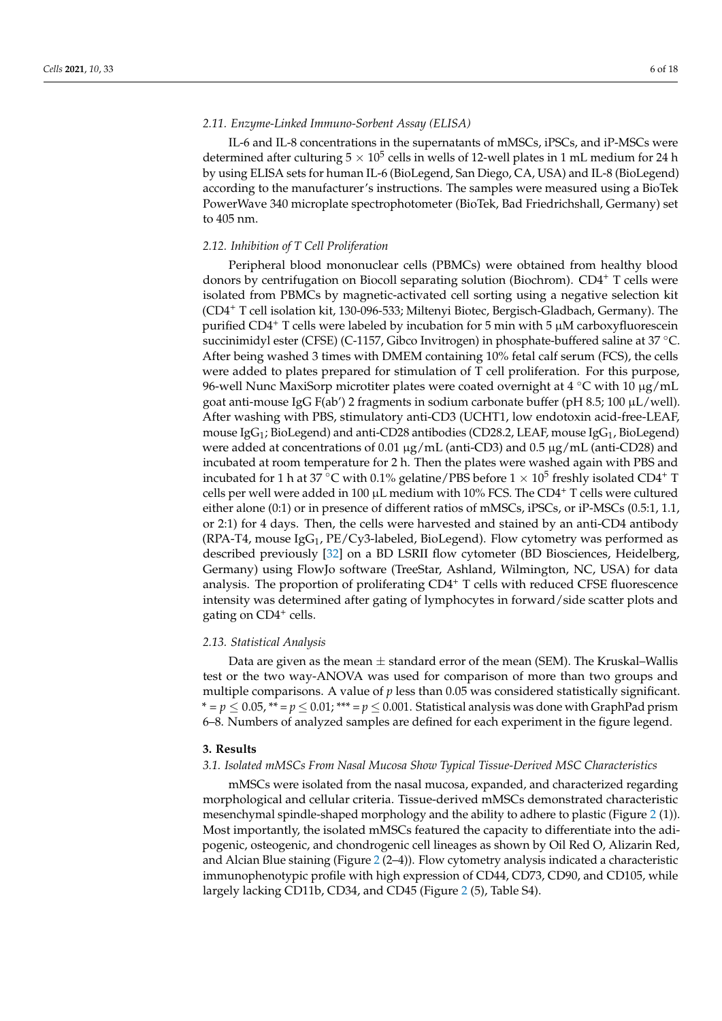# *2.11. Enzyme-Linked Immuno-Sorbent Assay (ELISA)*

IL-6 and IL-8 concentrations in the supernatants of mMSCs, iPSCs, and iP-MSCs were determined after culturing  $5\times10^5$  cells in wells of 12-well plates in 1 mL medium for 24 h by using ELISA sets for human IL-6 (BioLegend, San Diego, CA, USA) and IL-8 (BioLegend) according to the manufacturer's instructions. The samples were measured using a BioTek PowerWave 340 microplate spectrophotometer (BioTek, Bad Friedrichshall, Germany) set to 405 nm.

# *2.12. Inhibition of T Cell Proliferation*

Peripheral blood mononuclear cells (PBMCs) were obtained from healthy blood donors by centrifugation on Biocoll separating solution (Biochrom). CD4<sup>+</sup> T cells were isolated from PBMCs by magnetic-activated cell sorting using a negative selection kit (CD4<sup>+</sup> T cell isolation kit, 130-096-533; Miltenyi Biotec, Bergisch-Gladbach, Germany). The purified CD4<sup>+</sup> T cells were labeled by incubation for 5 min with 5  $\mu$ M carboxyfluorescein succinimidyl ester (CFSE) (C-1157, Gibco Invitrogen) in phosphate-buffered saline at 37 ◦C. After being washed 3 times with DMEM containing 10% fetal calf serum (FCS), the cells were added to plates prepared for stimulation of T cell proliferation. For this purpose, 96-well Nunc MaxiSorp microtiter plates were coated overnight at  $4 °C$  with 10  $\mu$ g/mL goat anti-mouse IgG F(ab') 2 fragments in sodium carbonate buffer (pH 8.5; 100  $\mu$ L/well). After washing with PBS, stimulatory anti-CD3 (UCHT1, low endotoxin acid-free-LEAF, mouse  $\text{IgG}_1$ ; BioLegend) and anti-CD28 antibodies (CD28.2, LEAF, mouse  $\text{IgG}_1$ , BioLegend) were added at concentrations of 0.01  $\mu$ g/mL (anti-CD3) and 0.5  $\mu$ g/mL (anti-CD28) and incubated at room temperature for 2 h. Then the plates were washed again with PBS and incubated for 1 h at 37  $^{\circ}$ C with 0.1% gelatine/PBS before  $1 \times 10^5$  freshly isolated CD4<sup>+</sup> T cells per well were added in 100  $\mu$ L medium with 10% FCS. The CD4<sup>+</sup> T cells were cultured either alone (0:1) or in presence of different ratios of mMSCs, iPSCs, or iP-MSCs (0.5:1, 1.1, or 2:1) for 4 days. Then, the cells were harvested and stained by an anti-CD4 antibody (RPA-T4, mouse  $\text{IgG}_1$ , PE/Cy3-labeled, BioLegend). Flow cytometry was performed as described previously [\[32\]](#page-16-9) on a BD LSRII flow cytometer (BD Biosciences, Heidelberg, Germany) using FlowJo software (TreeStar, Ashland, Wilmington, NC, USA) for data analysis. The proportion of proliferating CD4<sup>+</sup> T cells with reduced CFSE fluorescence intensity was determined after gating of lymphocytes in forward/side scatter plots and gating on CD4<sup>+</sup> cells.

#### *2.13. Statistical Analysis*

Data are given as the mean  $\pm$  standard error of the mean (SEM). The Kruskal–Wallis test or the two way-ANOVA was used for comparison of more than two groups and multiple comparisons. A value of *p* less than 0.05 was considered statistically significant. \* =  $p \le 0.05$ , \*\* =  $p \le 0.01$ ; \*\*\* =  $p \le 0.001$ . Statistical analysis was done with GraphPad prism 6–8. Numbers of analyzed samples are defined for each experiment in the figure legend.

## **3. Results**

# *3.1. Isolated mMSCs From Nasal Mucosa Show Typical Tissue-Derived MSC Characteristics*

mMSCs were isolated from the nasal mucosa, expanded, and characterized regarding morphological and cellular criteria. Tissue-derived mMSCs demonstrated characteristic mesenchymal spindle-shaped morphology and the ability to adhere to plastic (Figure [2](#page-6-0) (1)). Most importantly, the isolated mMSCs featured the capacity to differentiate into the adipogenic, osteogenic, and chondrogenic cell lineages as shown by Oil Red O, Alizarin Red, and Alcian Blue staining (Figure [2](#page-6-0) (2–4)). Flow cytometry analysis indicated a characteristic immunophenotypic profile with high expression of CD44, CD73, CD90, and CD105, while largely lacking CD11b, CD34, and CD45 (Figure [2](#page-6-0) (5), Table S4).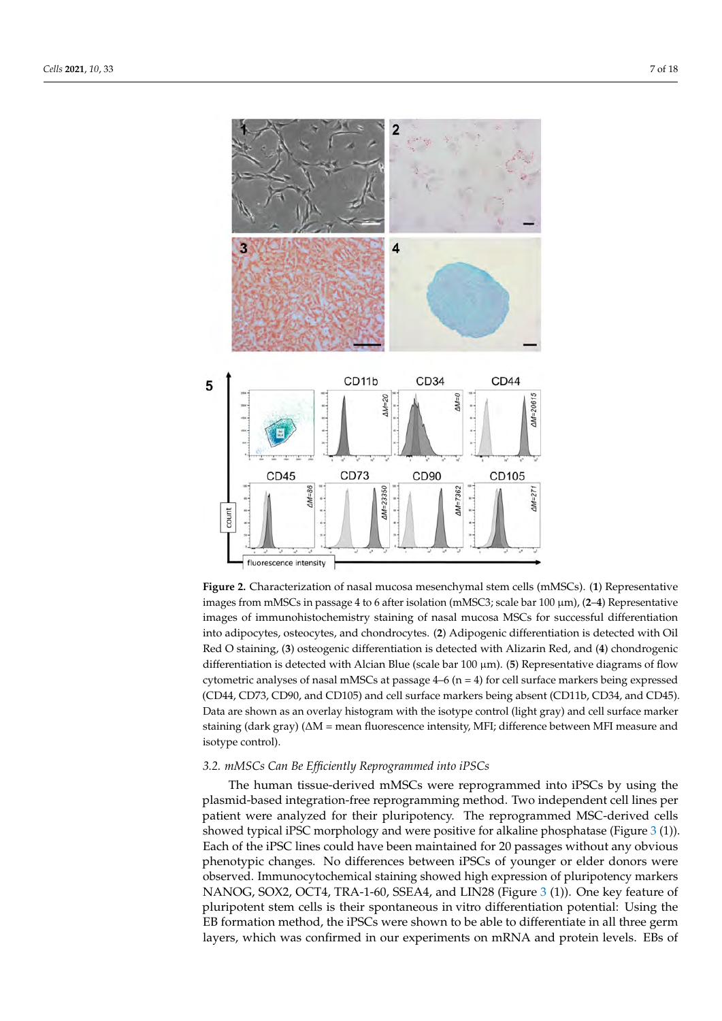<span id="page-6-0"></span>

**Figure 2.** Characterization of nasal mucosa mesenchymal stem cells (mMSCs). (**1**) Representative images from mMSCs in passage 4 to 6 after isolation (mMSC3; scale bar 100 µm), (**2**–**4**) Representative images of immunohistochemistry staining of nasal mucosa MSCs for successful differentiation into adipocytes, osteocytes, and chondrocytes. (**2**) Adipogenic differentiation is detected with Oil Red O staining, (**3**) osteogenic differentiation is detected with Alizarin Red, and (**4**) chondrogenic differentiation is detected with Alcian Blue (scale bar 100 µm). (**5**) Representative diagrams of flow cytometric analyses of nasal mMSCs at passage  $4-6$  (n = 4) for cell surface markers being expressed (CD44, CD73, CD90, and CD105) and cell surface markers being absent (CD11b, CD34, and CD45). Data are shown as an overlay histogram with the isotype control (light gray) and cell surface marker staining (dark gray) (∆M = mean fluorescence intensity, MFI; difference between MFI measure and isotype control).

#### *3.2. mMSCs Can Be Efficiently Reprogrammed into iPSCs*

The human tissue-derived mMSCs were reprogrammed into iPSCs by using the plasmid-based integration-free reprogramming method. Two independent cell lines per patient were analyzed for their pluripotency. The reprogrammed MSC-derived cells showed typical iPSC morphology and were positive for alkaline phosphatase (Figure [3](#page-7-0) (1)). Each of the iPSC lines could have been maintained for 20 passages without any obvious phenotypic changes. No differences between iPSCs of younger or elder donors were observed. Immunocytochemical staining showed high expression of pluripotency markers NANOG, SOX2, OCT4, TRA-1-60, SSEA4, and LIN28 (Figure [3](#page-7-0) (1)). One key feature of pluripotent stem cells is their spontaneous in vitro differentiation potential: Using the EB formation method, the iPSCs were shown to be able to differentiate in all three germ layers, which was confirmed in our experiments on mRNA and protein levels. EBs of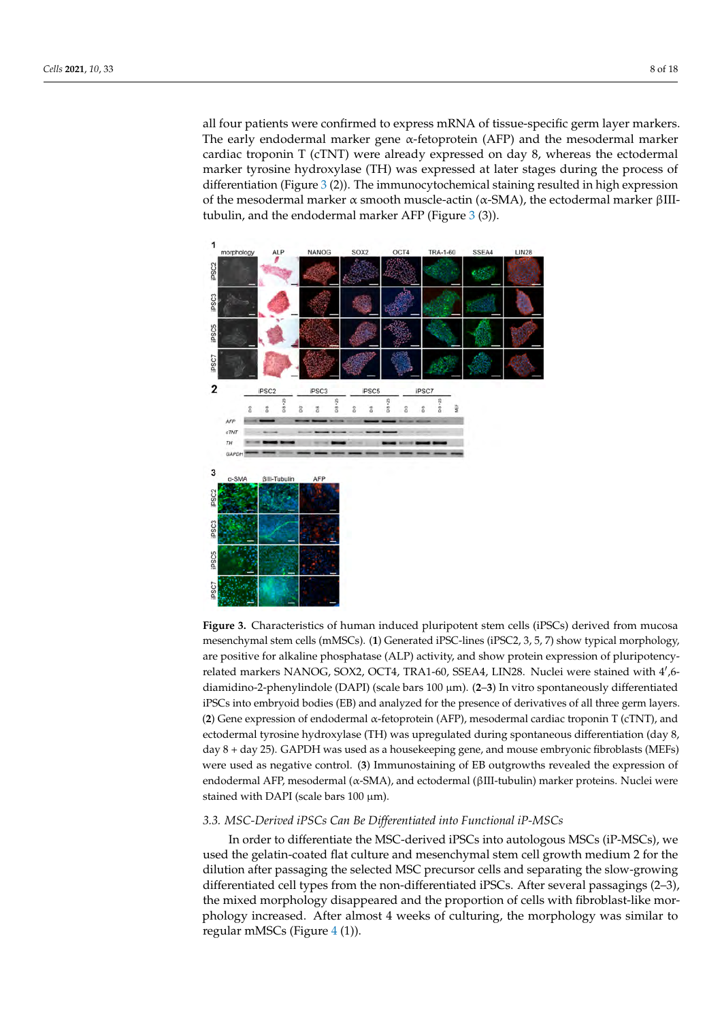all four patients were confirmed to express mRNA of tissue-specific germ layer markers. The early endodermal marker gene  $\alpha$ -fetoprotein (AFP) and the mesodermal marker cardiac troponin T (cTNT) were already expressed on day 8, whereas the ectodermal marker tyrosine hydroxylase (TH) was expressed at later stages during the process of differentiation (Figure [3](#page-7-0) (2)). The immunocytochemical staining resulted in high expression of the mesodermal marker α smooth muscle-actin (α-SMA), the ectodermal marker βIIItubulin, and the endodermal marker AFP (Figure [3](#page-7-0) (3)).

<span id="page-7-0"></span>

Figure 3. Characteristics of human induced pluripotent stem cells (iPSCs) derived from mucosa mesenchymal stem cells (mMSCs). (**1**) Generated iPSC-lines (iPSC2, 3, 5, 7) show typical morphology, are positive for alkaline phosphatase (ALP) activity, and show protein expression of pluripotencyrelated markers NANOG, SOX2, OCT4, TRA1-60, SSEA4, LIN28. Nuclei were stained with 4',6diamidino-2-phenylindole (DAPI) (scale bars 100 µm). (**2**–**3**) In vitro spontaneously differentiated iPSCs into embryoid bodies (EB) and analyzed for the presence of derivatives of all three germ layers. (**2**) Gene expression of endodermal α-fetoprotein (AFP), mesodermal cardiac troponin T (cTNT), and ectodermal tyrosine hydroxylase (TH) was upregulated during spontaneous differentiation (day 8, day 8 + day 25). GAPDH was used as a housekeeping gene, and mouse embryonic fibroblasts (MEFs) were used as negative control. (**3**) Immunostaining of EB outgrowths revealed the expression of endodermal AFP, mesodermal (α-SMA), and ectodermal (βIII-tubulin) marker proteins. Nuclei were stained with DAPI (scale bars  $100 \mu m$ ).

### *3.3. MSC-Derived iPSCs Can Be Differentiated into Functional iP-MSCs*

In order to differentiate the MSC-derived iPSCs into autologous MSCs (iP-MSCs), we used the gelatin-coated flat culture and mesenchymal stem cell growth medium 2 for the dilution after passaging the selected MSC precursor cells and separating the slow-growing differentiated cell types from the non-differentiated iPSCs. After several passagings (2–3), the mixed morphology disappeared and the proportion of cells with fibroblast-like morphology increased. After almost 4 weeks of culturing, the morphology was similar to regular mMSCs (Figure [4](#page-8-0) (1)).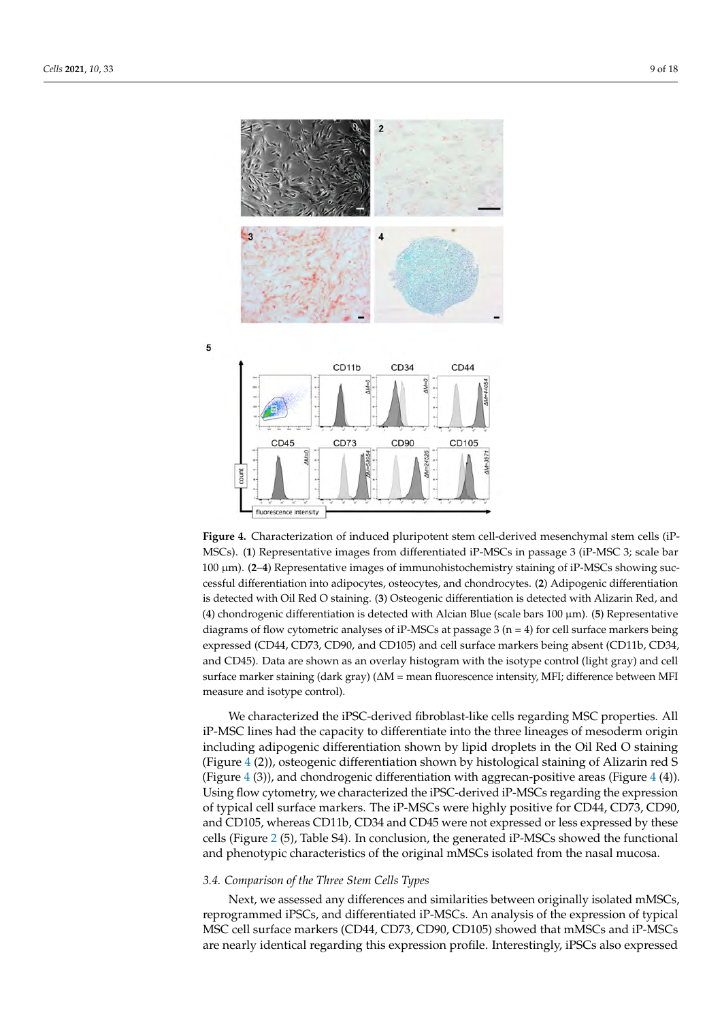<span id="page-8-0"></span>

**Figure 4.** Characterization of induced pluripotent stem cell-derived mesenchymal stem cells (iP-MSCs). (**1**) Representative images from differentiated iP-MSCs in passage 3 (iP-MSC 3; scale bar 100 µm). (**2**–**4**) Representative images of immunohistochemistry staining of iP-MSCs showing successful differentiation into adipocytes, osteocytes, and chondrocytes. (**2**) Adipogenic differentiation is detected with Oil Red O staining. (**3**) Osteogenic differentiation is detected with Alizarin Red, and (**4**) chondrogenic differentiation is detected with Alcian Blue (scale bars 100 µm). (**5**) Representative diagrams of flow cytometric analyses of iP-MSCs at passage  $3$  (n = 4) for cell surface markers being expressed (CD44, CD73, CD90, and CD105) and cell surface markers being absent (CD11b, CD34, and CD45). Data are shown as an overlay histogram with the isotype control (light gray) and cell surface marker staining (dark gray) ( $\Delta M$  = mean fluorescence intensity, MFI; difference between MFI measure and isotype control).

We characterized the iPSC-derived fibroblast-like cells regarding MSC properties. All iP-MSC lines had the capacity to differentiate into the three lineages of mesoderm origin including adipogenic differentiation shown by lipid droplets in the Oil Red O staining (Figure [4](#page-8-0) (2)), osteogenic differentiation shown by histological staining of Alizarin red S (Figure  $4$  (3)), and chondrogenic differentiation with aggrecan-positive areas (Figure  $4$  (4)). Using flow cytometry, we characterized the iPSC-derived iP-MSCs regarding the expression of typical cell surface markers. The iP-MSCs were highly positive for CD44, CD73, CD90, and CD105, whereas CD11b, CD34 and CD45 were not expressed or less expressed by these cells (Figure [2](#page-6-0) (5), Table S4). In conclusion, the generated iP-MSCs showed the functional and phenotypic characteristics of the original mMSCs isolated from the nasal mucosa.

# *3.4. Comparison of the Three Stem Cells Types*

Next, we assessed any differences and similarities between originally isolated mMSCs, reprogrammed iPSCs, and differentiated iP-MSCs. An analysis of the expression of typical MSC cell surface markers (CD44, CD73, CD90, CD105) showed that mMSCs and iP-MSCs are nearly identical regarding this expression profile. Interestingly, iPSCs also expressed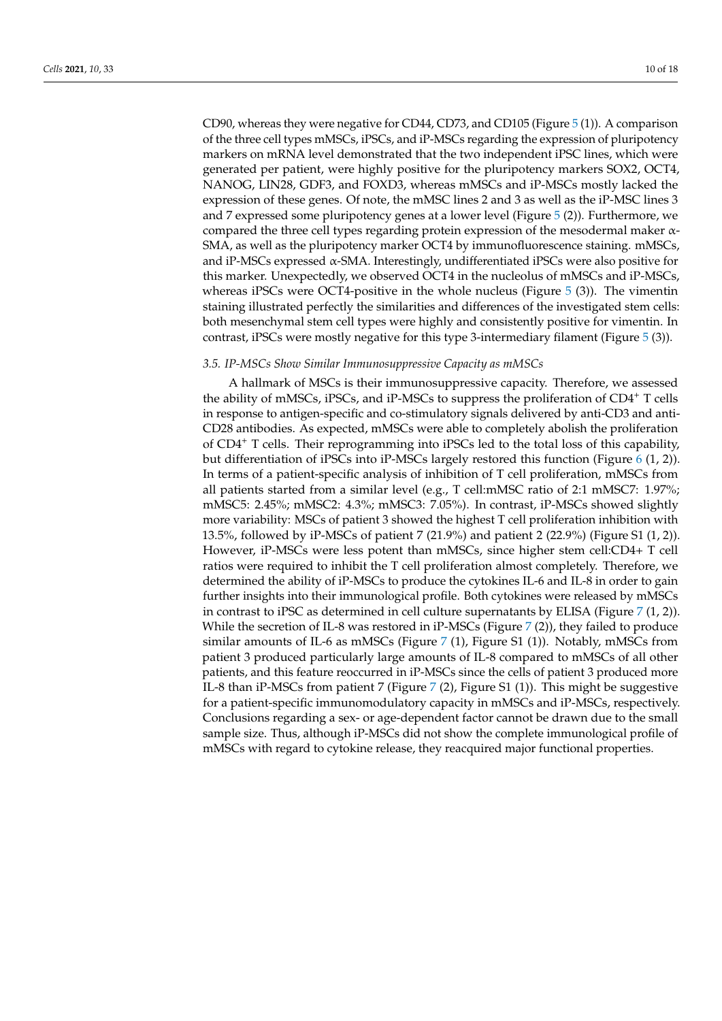CD90, whereas they were negative for CD44, CD73, and CD105 (Figure [5](#page-10-0) (1)). A comparison of the three cell types mMSCs, iPSCs, and iP-MSCs regarding the expression of pluripotency markers on mRNA level demonstrated that the two independent iPSC lines, which were generated per patient, were highly positive for the pluripotency markers SOX2, OCT4, NANOG, LIN28, GDF3, and FOXD3, whereas mMSCs and iP-MSCs mostly lacked the expression of these genes. Of note, the mMSC lines 2 and 3 as well as the iP-MSC lines 3 and 7 expressed some pluripotency genes at a lower level (Figure [5](#page-10-0) (2)). Furthermore, we compared the three cell types regarding protein expression of the mesodermal maker α-SMA, as well as the pluripotency marker OCT4 by immunofluorescence staining. mMSCs, and iP-MSCs expressed α-SMA. Interestingly, undifferentiated iPSCs were also positive for this marker. Unexpectedly, we observed OCT4 in the nucleolus of mMSCs and iP-MSCs, whereas iPSCs were OCT4-positive in the whole nucleus (Figure  $5$  (3)). The vimentin staining illustrated perfectly the similarities and differences of the investigated stem cells: both mesenchymal stem cell types were highly and consistently positive for vimentin. In contrast, iPSCs were mostly negative for this type 3-intermediary filament (Figure [5](#page-10-0) (3)).

# *3.5. IP-MSCs Show Similar Immunosuppressive Capacity as mMSCs*

A hallmark of MSCs is their immunosuppressive capacity. Therefore, we assessed the ability of mMSCs, iPSCs, and iP-MSCs to suppress the proliferation of CD4<sup>+</sup> T cells in response to antigen-specific and co-stimulatory signals delivered by anti-CD3 and anti-CD28 antibodies. As expected, mMSCs were able to completely abolish the proliferation of CD4<sup>+</sup> T cells. Their reprogramming into iPSCs led to the total loss of this capability, but differentiation of iPSCs into iP-MSCs largely restored this function (Figure [6](#page-11-0) (1, 2)). In terms of a patient-specific analysis of inhibition of T cell proliferation, mMSCs from all patients started from a similar level (e.g., T cell:mMSC ratio of 2:1 mMSC7: 1.97%; mMSC5: 2.45%; mMSC2: 4.3%; mMSC3: 7.05%). In contrast, iP-MSCs showed slightly more variability: MSCs of patient 3 showed the highest T cell proliferation inhibition with 13.5%, followed by iP-MSCs of patient 7 (21.9%) and patient 2 (22.9%) (Figure S1 (1, 2)). However, iP-MSCs were less potent than mMSCs, since higher stem cell:CD4+ T cell ratios were required to inhibit the T cell proliferation almost completely. Therefore, we determined the ability of iP-MSCs to produce the cytokines IL-6 and IL-8 in order to gain further insights into their immunological profile. Both cytokines were released by mMSCs in contrast to iPSC as determined in cell culture supernatants by ELISA (Figure [7](#page-12-0)  $(1, 2)$ ). While the secretion of IL-8 was restored in iP-MSCs (Figure  $7$  (2)), they failed to produce similar amounts of IL-6 as mMSCs (Figure [7](#page-12-0) (1), Figure S1 (1)). Notably, mMSCs from patient 3 produced particularly large amounts of IL-8 compared to mMSCs of all other patients, and this feature reoccurred in iP-MSCs since the cells of patient 3 produced more IL-8 than iP-MSCs from patient 7 (Figure [7](#page-12-0) (2), Figure S1 (1)). This might be suggestive for a patient-specific immunomodulatory capacity in mMSCs and iP-MSCs, respectively. Conclusions regarding a sex- or age-dependent factor cannot be drawn due to the small sample size. Thus, although iP-MSCs did not show the complete immunological profile of mMSCs with regard to cytokine release, they reacquired major functional properties.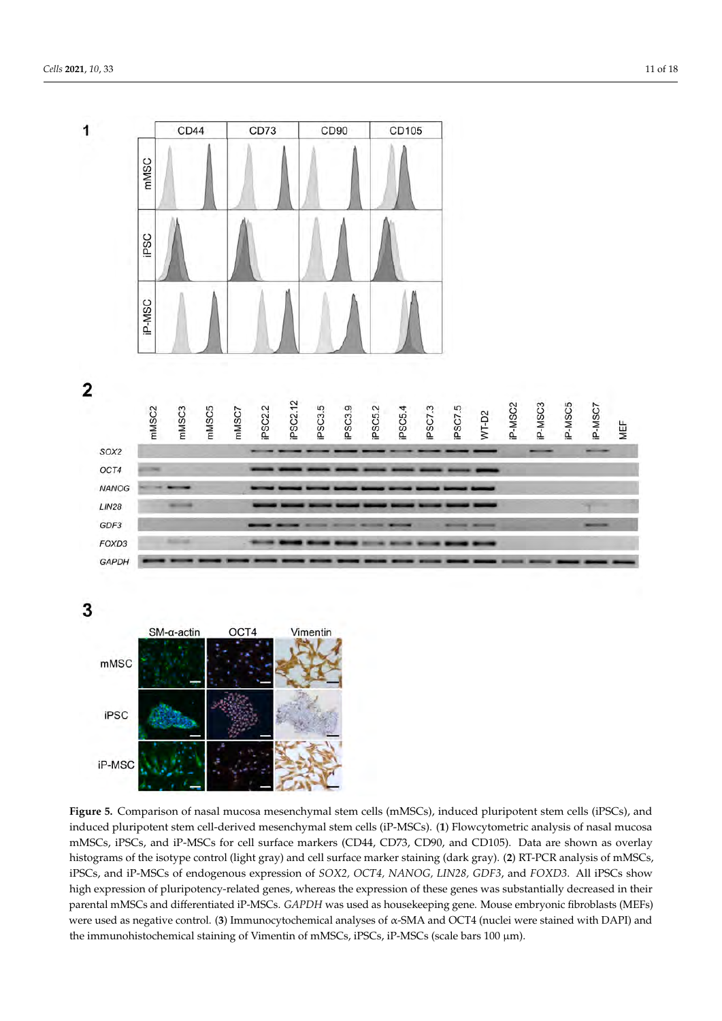<span id="page-10-0"></span>1

CD44 CD73 CD<sub>90</sub> CD105 mMSC iPSC **P-MSC** 





3



**Figure 5.** Comparison of nasal mucosa mesenchymal stem cells (mMSCs), induced pluripotent stem cells (iPSCs), and induced pluripotent stem cell-derived mesenchymal stem cells (iP-MSCs). (**1**) Flowcytometric analysis of nasal mucosa mMSCs, iPSCs, and iP-MSCs for cell surface markers (CD44, CD73, CD90, and CD105). Data are shown as overlay histograms of the isotype control (light gray) and cell surface marker staining (dark gray). (**2**) RT-PCR analysis of mMSCs, iPSCs, and iP-MSCs of endogenous expression of *SOX2, OCT4, NANOG, LIN28, GDF3*, and *FOXD3*. All iPSCs show high expression of pluripotency-related genes, whereas the expression of these genes was substantially decreased in their parental mMSCs and differentiated iP-MSCs. *GAPDH* was used as housekeeping gene. Mouse embryonic fibroblasts (MEFs) were used as negative control. (**3**) Immunocytochemical analyses of α-SMA and OCT4 (nuclei were stained with DAPI) and the immunohistochemical staining of Vimentin of mMSCs, iPSCs, iP-MSCs (scale bars 100  $\mu$ m).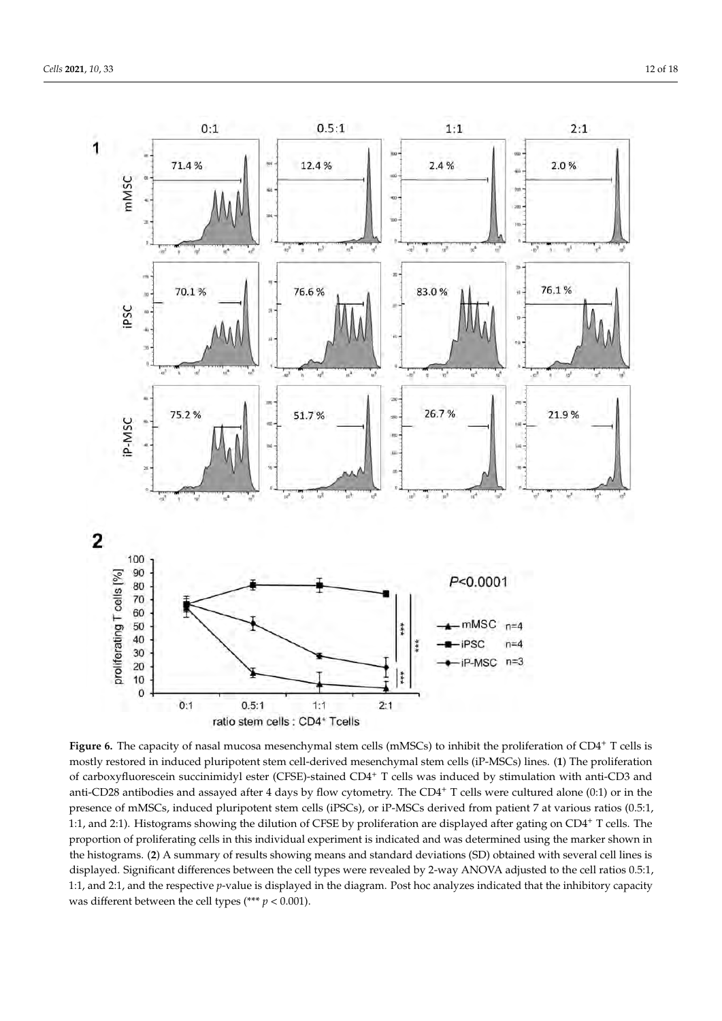<span id="page-11-0"></span>

Figure 6. The capacity of nasal mucosa mesenchymal stem cells (mMSCs) to inhibit the proliferation of CD4<sup>+</sup> T cells is mostly restored in induced pluripotent stem cell-derived mesenchymal stem cells (iP-MSCs) lines. (**1**) The proliferation of carboxyfluorescein succinimidyl ester (CFSE)-stained CD4<sup>+</sup> T cells was induced by stimulation with anti-CD3 and anti-CD28 antibodies and assayed after 4 days by flow cytometry. The CD4+ T cells were cultured alone (0:1) or in the presence of mMSCs, induced pluripotent stem cells (iPSCs), or iP-MSCs derived from patient 7 at various ratios (0.5:1, 1:1, and 2:1). Histograms showing the dilution of CFSE by proliferation are displayed after gating on CD4<sup>+</sup> T cells. The proportion of proliferating cells in this individual experiment is indicated and was determined using the marker shown in the histograms. (**2**) A summary of results showing means and standard deviations (SD) obtained with several cell lines is displayed. Significant differences between the cell types were revealed by 2-way ANOVA adjusted to the cell ratios 0.5:1, 1:1, and 2:1, and the respective *p*-value is displayed in the diagram. Post hoc analyzes indicated that the inhibitory capacity was different between the cell types (\*\*\* *p* < 0.001).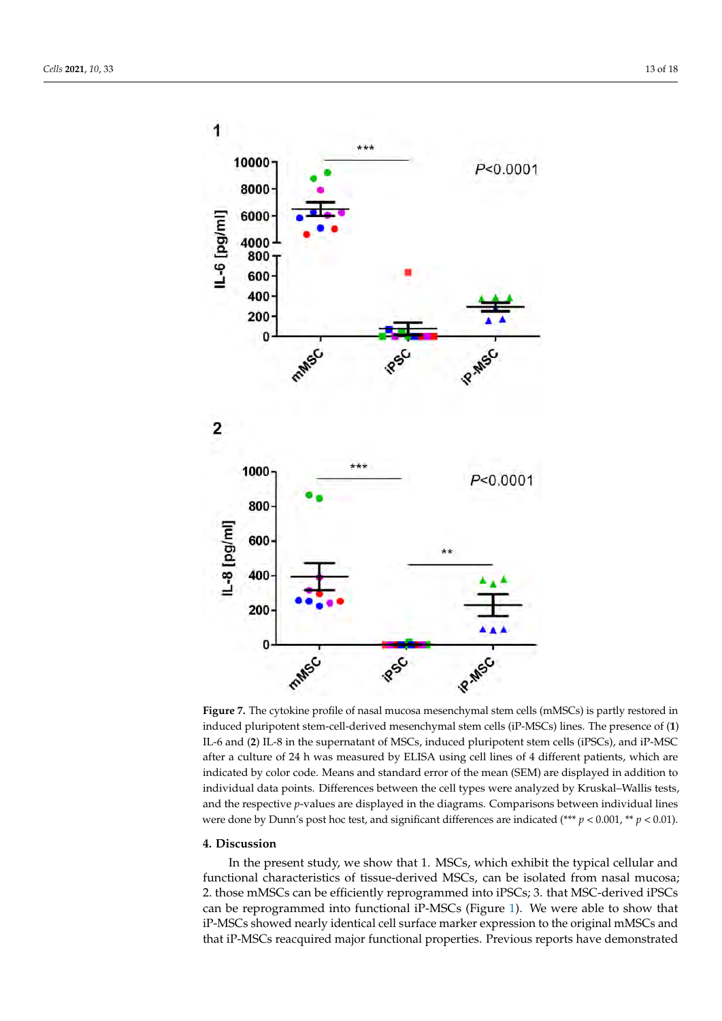<span id="page-12-0"></span>

**Figure 7.** The cytokine profile of nasal mucosa mesenchymal stem cells (mMSCs) is partly restored in induced pluripotent stem-cell-derived mesenchymal stem cells (iP-MSCs) lines. The presence of (**1**) IL-6 and (**2**) IL-8 in the supernatant of MSCs, induced pluripotent stem cells (iPSCs), and iP-MSC after a culture of 24 h was measured by ELISA using cell lines of 4 different patients, which are indicated by color code. Means and standard error of the mean (SEM) are displayed in addition to individual data points. Differences between the cell types were analyzed by Kruskal–Wallis tests, and the respective *p*-values are displayed in the diagrams. Comparisons between individual lines were done by Dunn's post hoc test, and significant differences are indicated (\*\*\* *p* < 0.001, \*\* *p* < 0.01).

#### **4. Discussion**

In the present study, we show that 1. MSCs, which exhibit the typical cellular and functional characteristics of tissue-derived MSCs, can be isolated from nasal mucosa; 2. those mMSCs can be efficiently reprogrammed into iPSCs; 3. that MSC-derived iPSCs can be reprogrammed into functional iP-MSCs (Figure [1\)](#page-2-0). We were able to show that iP-MSCs showed nearly identical cell surface marker expression to the original mMSCs and that iP-MSCs reacquired major functional properties. Previous reports have demonstrated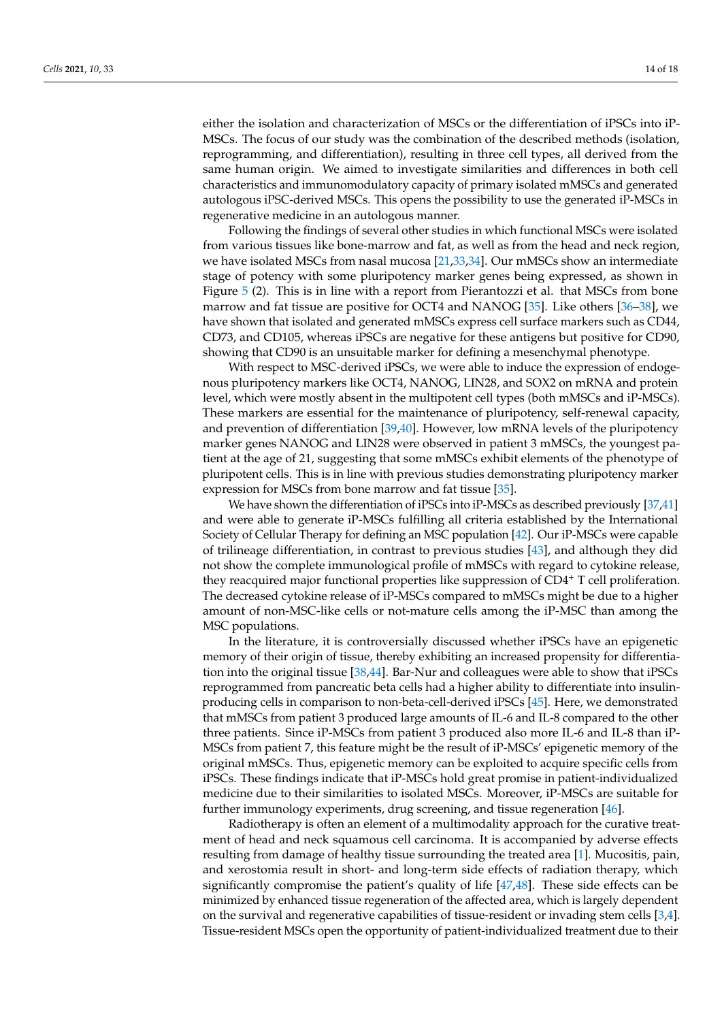either the isolation and characterization of MSCs or the differentiation of iPSCs into iP-MSCs. The focus of our study was the combination of the described methods (isolation, reprogramming, and differentiation), resulting in three cell types, all derived from the same human origin. We aimed to investigate similarities and differences in both cell characteristics and immunomodulatory capacity of primary isolated mMSCs and generated autologous iPSC-derived MSCs. This opens the possibility to use the generated iP-MSCs in regenerative medicine in an autologous manner.

Following the findings of several other studies in which functional MSCs were isolated from various tissues like bone-marrow and fat, as well as from the head and neck region, we have isolated MSCs from nasal mucosa [\[21](#page-15-17)[,33](#page-16-10)[,34\]](#page-16-11). Our mMSCs show an intermediate stage of potency with some pluripotency marker genes being expressed, as shown in Figure [5](#page-10-0) (2). This is in line with a report from Pierantozzi et al. that MSCs from bone marrow and fat tissue are positive for OCT4 and NANOG [\[35\]](#page-16-12). Like others [\[36](#page-16-13)[–38\]](#page-16-14), we have shown that isolated and generated mMSCs express cell surface markers such as CD44, CD73, and CD105, whereas iPSCs are negative for these antigens but positive for CD90, showing that CD90 is an unsuitable marker for defining a mesenchymal phenotype.

With respect to MSC-derived iPSCs, we were able to induce the expression of endogenous pluripotency markers like OCT4, NANOG, LIN28, and SOX2 on mRNA and protein level, which were mostly absent in the multipotent cell types (both mMSCs and iP-MSCs). These markers are essential for the maintenance of pluripotency, self-renewal capacity, and prevention of differentiation [\[39](#page-16-15)[,40\]](#page-16-16). However, low mRNA levels of the pluripotency marker genes NANOG and LIN28 were observed in patient 3 mMSCs, the youngest patient at the age of 21, suggesting that some mMSCs exhibit elements of the phenotype of pluripotent cells. This is in line with previous studies demonstrating pluripotency marker expression for MSCs from bone marrow and fat tissue [\[35\]](#page-16-12).

We have shown the differentiation of iPSCs into iP-MSCs as described previously [\[37,](#page-16-17)[41\]](#page-16-18) and were able to generate iP-MSCs fulfilling all criteria established by the International Society of Cellular Therapy for defining an MSC population [\[42\]](#page-16-19). Our iP-MSCs were capable of trilineage differentiation, in contrast to previous studies [\[43\]](#page-16-20), and although they did not show the complete immunological profile of mMSCs with regard to cytokine release, they reacquired major functional properties like suppression of CD4<sup>+</sup> T cell proliferation. The decreased cytokine release of iP-MSCs compared to mMSCs might be due to a higher amount of non-MSC-like cells or not-mature cells among the iP-MSC than among the MSC populations.

In the literature, it is controversially discussed whether iPSCs have an epigenetic memory of their origin of tissue, thereby exhibiting an increased propensity for differentiation into the original tissue [\[38,](#page-16-14)[44\]](#page-16-21). Bar-Nur and colleagues were able to show that iPSCs reprogrammed from pancreatic beta cells had a higher ability to differentiate into insulinproducing cells in comparison to non-beta-cell-derived iPSCs [\[45\]](#page-16-22). Here, we demonstrated that mMSCs from patient 3 produced large amounts of IL-6 and IL-8 compared to the other three patients. Since iP-MSCs from patient 3 produced also more IL-6 and IL-8 than iP-MSCs from patient 7, this feature might be the result of iP-MSCs' epigenetic memory of the original mMSCs. Thus, epigenetic memory can be exploited to acquire specific cells from iPSCs. These findings indicate that iP-MSCs hold great promise in patient-individualized medicine due to their similarities to isolated MSCs. Moreover, iP-MSCs are suitable for further immunology experiments, drug screening, and tissue regeneration [\[46\]](#page-17-0).

Radiotherapy is often an element of a multimodality approach for the curative treatment of head and neck squamous cell carcinoma. It is accompanied by adverse effects resulting from damage of healthy tissue surrounding the treated area [\[1\]](#page-15-0). Mucositis, pain, and xerostomia result in short- and long-term side effects of radiation therapy, which significantly compromise the patient's quality of life [\[47](#page-17-1)[,48\]](#page-17-2). These side effects can be minimized by enhanced tissue regeneration of the affected area, which is largely dependent on the survival and regenerative capabilities of tissue-resident or invading stem cells [\[3,](#page-15-2)[4\]](#page-15-3). Tissue-resident MSCs open the opportunity of patient-individualized treatment due to their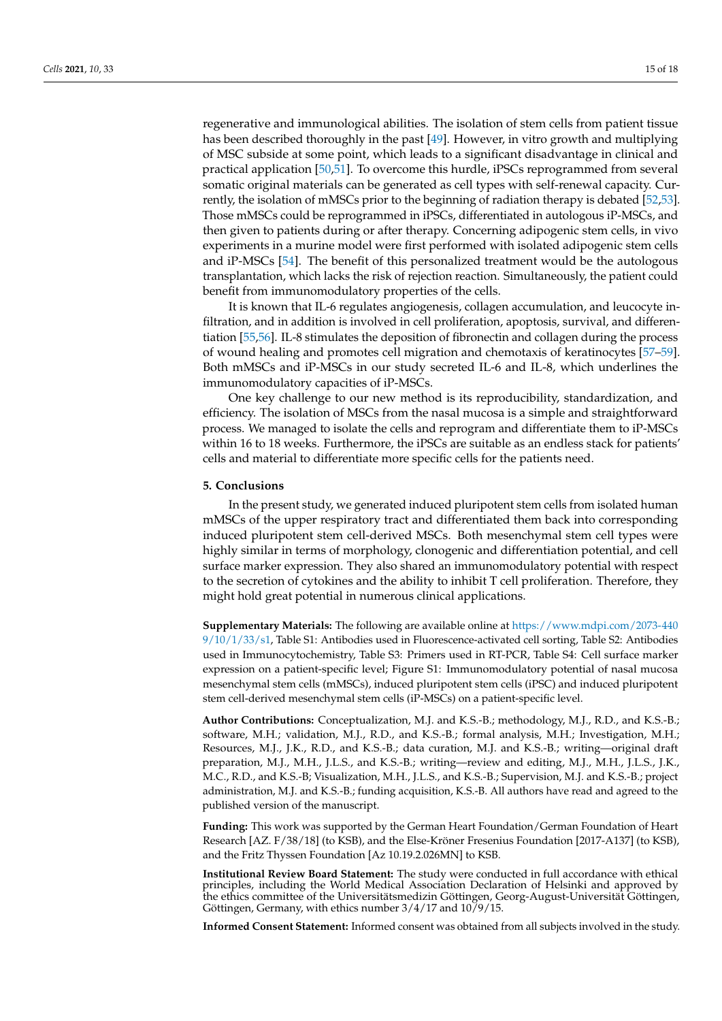regenerative and immunological abilities. The isolation of stem cells from patient tissue has been described thoroughly in the past [\[49\]](#page-17-3). However, in vitro growth and multiplying of MSC subside at some point, which leads to a significant disadvantage in clinical and practical application [\[50,](#page-17-4)[51\]](#page-17-5). To overcome this hurdle, iPSCs reprogrammed from several somatic original materials can be generated as cell types with self-renewal capacity. Currently, the isolation of mMSCs prior to the beginning of radiation therapy is debated [\[52](#page-17-6)[,53\]](#page-17-7). Those mMSCs could be reprogrammed in iPSCs, differentiated in autologous iP-MSCs, and then given to patients during or after therapy. Concerning adipogenic stem cells, in vivo experiments in a murine model were first performed with isolated adipogenic stem cells and iP-MSCs [\[54\]](#page-17-8). The benefit of this personalized treatment would be the autologous transplantation, which lacks the risk of rejection reaction. Simultaneously, the patient could benefit from immunomodulatory properties of the cells.

It is known that IL-6 regulates angiogenesis, collagen accumulation, and leucocyte infiltration, and in addition is involved in cell proliferation, apoptosis, survival, and differentiation [\[55,](#page-17-9)[56\]](#page-17-10). IL-8 stimulates the deposition of fibronectin and collagen during the process of wound healing and promotes cell migration and chemotaxis of keratinocytes [\[57](#page-17-11)[–59\]](#page-17-12). Both mMSCs and iP-MSCs in our study secreted IL-6 and IL-8, which underlines the immunomodulatory capacities of iP-MSCs.

One key challenge to our new method is its reproducibility, standardization, and efficiency. The isolation of MSCs from the nasal mucosa is a simple and straightforward process. We managed to isolate the cells and reprogram and differentiate them to iP-MSCs within 16 to 18 weeks. Furthermore, the iPSCs are suitable as an endless stack for patients' cells and material to differentiate more specific cells for the patients need.

# **5. Conclusions**

In the present study, we generated induced pluripotent stem cells from isolated human mMSCs of the upper respiratory tract and differentiated them back into corresponding induced pluripotent stem cell-derived MSCs. Both mesenchymal stem cell types were highly similar in terms of morphology, clonogenic and differentiation potential, and cell surface marker expression. They also shared an immunomodulatory potential with respect to the secretion of cytokines and the ability to inhibit T cell proliferation. Therefore, they might hold great potential in numerous clinical applications.

**Supplementary Materials:** The following are available online at [https://www.mdpi.com/2073-440](https://www.mdpi.com/2073-4409/10/1/33/s1) [9/10/1/33/s1,](https://www.mdpi.com/2073-4409/10/1/33/s1) Table S1: Antibodies used in Fluorescence-activated cell sorting, Table S2: Antibodies used in Immunocytochemistry, Table S3: Primers used in RT-PCR, Table S4: Cell surface marker expression on a patient-specific level; Figure S1: Immunomodulatory potential of nasal mucosa mesenchymal stem cells (mMSCs), induced pluripotent stem cells (iPSC) and induced pluripotent stem cell-derived mesenchymal stem cells (iP-MSCs) on a patient-specific level.

**Author Contributions:** Conceptualization, M.J. and K.S.-B.; methodology, M.J., R.D., and K.S.-B.; software, M.H.; validation, M.J., R.D., and K.S.-B.; formal analysis, M.H.; Investigation, M.H.; Resources, M.J., J.K., R.D., and K.S.-B.; data curation, M.J. and K.S.-B.; writing—original draft preparation, M.J., M.H., J.L.S., and K.S.-B.; writing—review and editing, M.J., M.H., J.L.S., J.K., M.C., R.D., and K.S.-B; Visualization, M.H., J.L.S., and K.S.-B.; Supervision, M.J. and K.S.-B.; project administration, M.J. and K.S.-B.; funding acquisition, K.S.-B. All authors have read and agreed to the published version of the manuscript.

**Funding:** This work was supported by the German Heart Foundation/German Foundation of Heart Research [AZ. F/38/18] (to KSB), and the Else-Kröner Fresenius Foundation [2017-A137] (to KSB), and the Fritz Thyssen Foundation [Az 10.19.2.026MN] to KSB.

**Institutional Review Board Statement:** The study were conducted in full accordance with ethical principles, including the World Medical Association Declaration of Helsinki and approved by the ethics committee of the Universitätsmedizin Göttingen, Georg-August-Universität Göttingen, Göttingen, Germany, with ethics number 3/4/17 and 10/9/15.

**Informed Consent Statement:** Informed consent was obtained from all subjects involved in the study.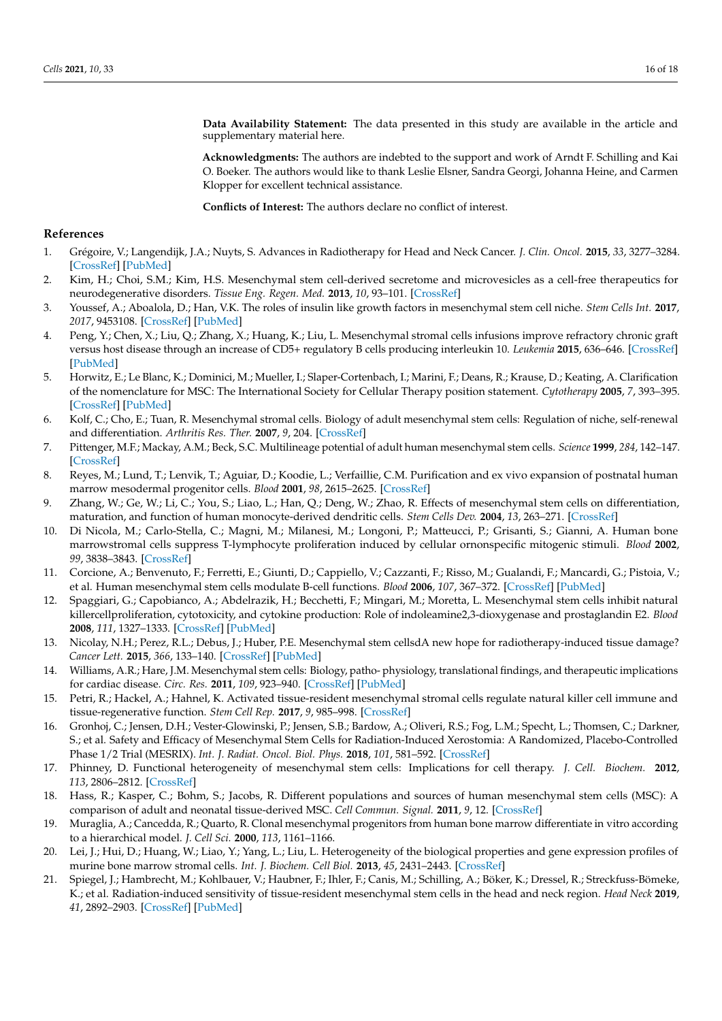**Data Availability Statement:** The data presented in this study are available in the article and supplementary material here.

**Acknowledgments:** The authors are indebted to the support and work of Arndt F. Schilling and Kai O. Boeker. The authors would like to thank Leslie Elsner, Sandra Georgi, Johanna Heine, and Carmen Klopper for excellent technical assistance.

**Conflicts of Interest:** The authors declare no conflict of interest.

# **References**

- <span id="page-15-0"></span>1. Grégoire, V.; Langendijk, J.A.; Nuyts, S. Advances in Radiotherapy for Head and Neck Cancer. *J. Clin. Oncol.* **2015**, *33*, 3277–3284. [\[CrossRef\]](http://dx.doi.org/10.1200/JCO.2015.61.2994) [\[PubMed\]](http://www.ncbi.nlm.nih.gov/pubmed/26351354)
- <span id="page-15-1"></span>2. Kim, H.; Choi, S.M.; Kim, H.S. Mesenchymal stem cell-derived secretome and microvesicles as a cell-free therapeutics for neurodegenerative disorders. *Tissue Eng. Regen. Med.* **2013**, *10*, 93–101. [\[CrossRef\]](http://dx.doi.org/10.1007/s13770-013-0010-7)
- <span id="page-15-2"></span>3. Youssef, A.; Aboalola, D.; Han, V.K. The roles of insulin like growth factors in mesenchymal stem cell niche. *Stem Cells Int.* **2017**, *2017*, 9453108. [\[CrossRef\]](http://dx.doi.org/10.1155/2017/9453108) [\[PubMed\]](http://www.ncbi.nlm.nih.gov/pubmed/28298931)
- <span id="page-15-3"></span>4. Peng, Y.; Chen, X.; Liu, Q.; Zhang, X.; Huang, K.; Liu, L. Mesenchymal stromal cells infusions improve refractory chronic graft versus host disease through an increase of CD5+ regulatory B cells producing interleukin 10. *Leukemia* **2015**, 636–646. [\[CrossRef\]](http://dx.doi.org/10.1038/leu.2014.225) [\[PubMed\]](http://www.ncbi.nlm.nih.gov/pubmed/25034146)
- <span id="page-15-4"></span>5. Horwitz, E.; Le Blanc, K.; Dominici, M.; Mueller, I.; Slaper-Cortenbach, I.; Marini, F.; Deans, R.; Krause, D.; Keating, A. Clarification of the nomenclature for MSC: The International Society for Cellular Therapy position statement. *Cytotherapy* **2005**, *7*, 393–395. [\[CrossRef\]](http://dx.doi.org/10.1080/14653240500319234) [\[PubMed\]](http://www.ncbi.nlm.nih.gov/pubmed/16236628)
- <span id="page-15-5"></span>6. Kolf, C.; Cho, E.; Tuan, R. Mesenchymal stromal cells. Biology of adult mesenchymal stem cells: Regulation of niche, self-renewal and differentiation. *Arthritis Res. Ther.* **2007**, *9*, 204. [\[CrossRef\]](http://dx.doi.org/10.1186/ar2116)
- <span id="page-15-6"></span>7. Pittenger, M.F.; Mackay, A.M.; Beck, S.C. Multilineage potential of adult human mesenchymal stem cells. *Science* **1999**, *284*, 142–147. [\[CrossRef\]](http://dx.doi.org/10.1126/science.284.5411.143)
- <span id="page-15-7"></span>8. Reyes, M.; Lund, T.; Lenvik, T.; Aguiar, D.; Koodie, L.; Verfaillie, C.M. Purification and ex vivo expansion of postnatal human marrow mesodermal progenitor cells. *Blood* **2001**, *98*, 2615–2625. [\[CrossRef\]](http://dx.doi.org/10.1182/blood.V98.9.2615)
- <span id="page-15-8"></span>9. Zhang, W.; Ge, W.; Li, C.; You, S.; Liao, L.; Han, Q.; Deng, W.; Zhao, R. Effects of mesenchymal stem cells on differentiation, maturation, and function of human monocyte-derived dendritic cells. *Stem Cells Dev.* **2004**, *13*, 263–271. [\[CrossRef\]](http://dx.doi.org/10.1089/154732804323099190)
- 10. Di Nicola, M.; Carlo-Stella, C.; Magni, M.; Milanesi, M.; Longoni, P.; Matteucci, P.; Grisanti, S.; Gianni, A. Human bone marrowstromal cells suppress T-lymphocyte proliferation induced by cellular ornonspecific mitogenic stimuli. *Blood* **2002**, *99*, 3838–3843. [\[CrossRef\]](http://dx.doi.org/10.1182/blood.V99.10.3838)
- 11. Corcione, A.; Benvenuto, F.; Ferretti, E.; Giunti, D.; Cappiello, V.; Cazzanti, F.; Risso, M.; Gualandi, F.; Mancardi, G.; Pistoia, V.; et al. Human mesenchymal stem cells modulate B-cell functions. *Blood* **2006**, *107*, 367–372. [\[CrossRef\]](http://dx.doi.org/10.1182/blood-2005-07-2657) [\[PubMed\]](http://www.ncbi.nlm.nih.gov/pubmed/16141348)
- <span id="page-15-9"></span>12. Spaggiari, G.; Capobianco, A.; Abdelrazik, H.; Becchetti, F.; Mingari, M.; Moretta, L. Mesenchymal stem cells inhibit natural killercellproliferation, cytotoxicity, and cytokine production: Role of indoleamine2,3-dioxygenase and prostaglandin E2. *Blood* **2008**, *111*, 1327–1333. [\[CrossRef\]](http://dx.doi.org/10.1182/blood-2007-02-074997) [\[PubMed\]](http://www.ncbi.nlm.nih.gov/pubmed/17951526)
- <span id="page-15-10"></span>13. Nicolay, N.H.; Perez, R.L.; Debus, J.; Huber, P.E. Mesenchymal stem cellsdA new hope for radiotherapy-induced tissue damage? *Cancer Lett.* **2015**, *366*, 133–140. [\[CrossRef\]](http://dx.doi.org/10.1016/j.canlet.2015.06.012) [\[PubMed\]](http://www.ncbi.nlm.nih.gov/pubmed/26166559)
- <span id="page-15-11"></span>14. Williams, A.R.; Hare, J.M. Mesenchymal stem cells: Biology, patho- physiology, translational findings, and therapeutic implications for cardiac disease. *Circ. Res.* **2011**, *109*, 923–940. [\[CrossRef\]](http://dx.doi.org/10.1161/CIRCRESAHA.111.243147) [\[PubMed\]](http://www.ncbi.nlm.nih.gov/pubmed/21960725)
- <span id="page-15-12"></span>15. Petri, R.; Hackel, A.; Hahnel, K. Activated tissue-resident mesenchymal stromal cells regulate natural killer cell immune and tissue-regenerative function. *Stem Cell Rep.* **2017**, *9*, 985–998. [\[CrossRef\]](http://dx.doi.org/10.1016/j.stemcr.2017.06.020)
- <span id="page-15-13"></span>16. Gronhoj, C.; Jensen, D.H.; Vester-Glowinski, P.; Jensen, S.B.; Bardow, A.; Oliveri, R.S.; Fog, L.M.; Specht, L.; Thomsen, C.; Darkner, S.; et al. Safety and Efficacy of Mesenchymal Stem Cells for Radiation-Induced Xerostomia: A Randomized, Placebo-Controlled Phase 1/2 Trial (MESRIX). *Int. J. Radiat. Oncol. Biol. Phys.* **2018**, *101*, 581–592. [\[CrossRef\]](http://dx.doi.org/10.1016/j.ijrobp.2018.02.034)
- <span id="page-15-14"></span>17. Phinney, D. Functional heterogeneity of mesenchymal stem cells: Implications for cell therapy. *J. Cell. Biochem.* **2012**, *113*, 2806–2812. [\[CrossRef\]](http://dx.doi.org/10.1002/jcb.24166)
- <span id="page-15-15"></span>18. Hass, R.; Kasper, C.; Bohm, S.; Jacobs, R. Different populations and sources of human mesenchymal stem cells (MSC): A comparison of adult and neonatal tissue-derived MSC. *Cell Commun. Signal.* **2011**, *9*, 12. [\[CrossRef\]](http://dx.doi.org/10.1186/1478-811X-9-12)
- 19. Muraglia, A.; Cancedda, R.; Quarto, R. Clonal mesenchymal progenitors from human bone marrow differentiate in vitro according to a hierarchical model. *J. Cell Sci.* **2000**, *113*, 1161–1166.
- <span id="page-15-16"></span>20. Lei, J.; Hui, D.; Huang, W.; Liao, Y.; Yang, L.; Liu, L. Heterogeneity of the biological properties and gene expression profiles of murine bone marrow stromal cells. *Int. J. Biochem. Cell Biol.* **2013**, *45*, 2431–2443. [\[CrossRef\]](http://dx.doi.org/10.1016/j.biocel.2013.07.015)
- <span id="page-15-17"></span>21. Spiegel, J.; Hambrecht, M.; Kohlbauer, V.; Haubner, F.; Ihler, F.; Canis, M.; Schilling, A.; Böker, K.; Dressel, R.; Streckfuss-Bömeke, K.; et al. Radiation-induced sensitivity of tissue-resident mesenchymal stem cells in the head and neck region. *Head Neck* **2019**, *41*, 2892–2903. [\[CrossRef\]](http://dx.doi.org/10.1002/hed.25768) [\[PubMed\]](http://www.ncbi.nlm.nih.gov/pubmed/31017352)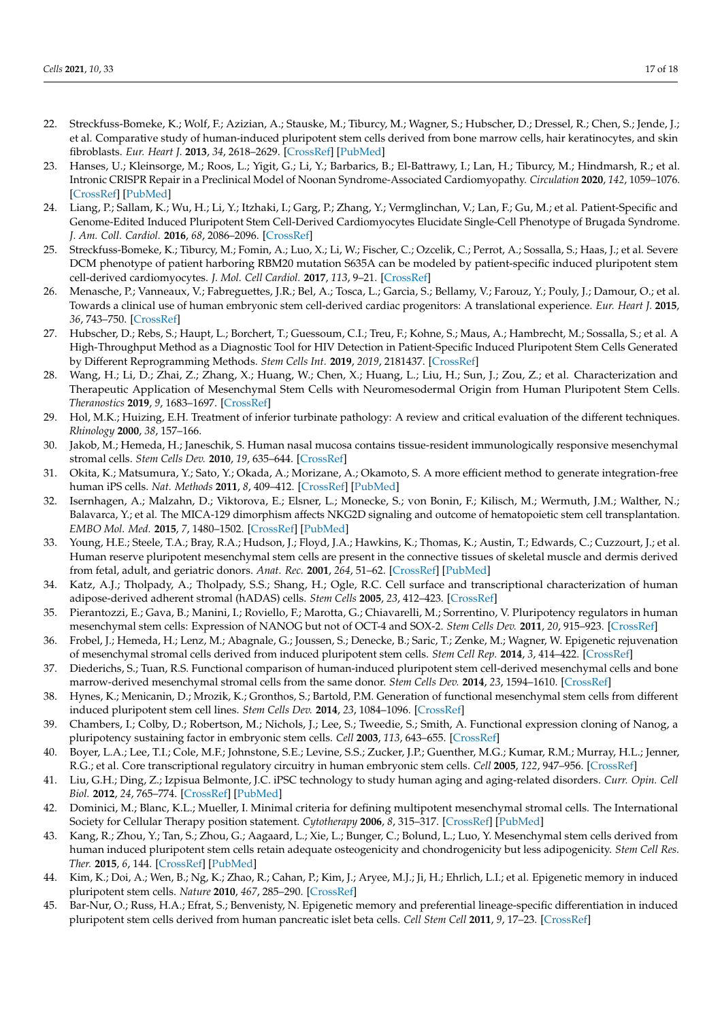- <span id="page-16-0"></span>22. Streckfuss-Bomeke, K.; Wolf, F.; Azizian, A.; Stauske, M.; Tiburcy, M.; Wagner, S.; Hubscher, D.; Dressel, R.; Chen, S.; Jende, J.; et al. Comparative study of human-induced pluripotent stem cells derived from bone marrow cells, hair keratinocytes, and skin fibroblasts. *Eur. Heart J.* **2013**, *34*, 2618–2629. [\[CrossRef\]](http://dx.doi.org/10.1093/eurheartj/ehs203) [\[PubMed\]](http://www.ncbi.nlm.nih.gov/pubmed/22798560)
- <span id="page-16-1"></span>23. Hanses, U.; Kleinsorge, M.; Roos, L.; Yigit, G.; Li, Y.; Barbarics, B.; El-Battrawy, I.; Lan, H.; Tiburcy, M.; Hindmarsh, R.; et al. Intronic CRISPR Repair in a Preclinical Model of Noonan Syndrome-Associated Cardiomyopathy. *Circulation* **2020**, *142*, 1059–1076. [\[CrossRef\]](http://dx.doi.org/10.1161/CIRCULATIONAHA.119.044794) [\[PubMed\]](http://www.ncbi.nlm.nih.gov/pubmed/32623905)
- 24. Liang, P.; Sallam, K.; Wu, H.; Li, Y.; Itzhaki, I.; Garg, P.; Zhang, Y.; Vermglinchan, V.; Lan, F.; Gu, M.; et al. Patient-Specific and Genome-Edited Induced Pluripotent Stem Cell-Derived Cardiomyocytes Elucidate Single-Cell Phenotype of Brugada Syndrome. *J. Am. Coll. Cardiol.* **2016**, *68*, 2086–2096. [\[CrossRef\]](http://dx.doi.org/10.1016/j.jacc.2016.07.779)
- <span id="page-16-2"></span>25. Streckfuss-Bomeke, K.; Tiburcy, M.; Fomin, A.; Luo, X.; Li, W.; Fischer, C.; Ozcelik, C.; Perrot, A.; Sossalla, S.; Haas, J.; et al. Severe DCM phenotype of patient harboring RBM20 mutation S635A can be modeled by patient-specific induced pluripotent stem cell-derived cardiomyocytes. *J. Mol. Cell Cardiol.* **2017**, *113*, 9–21. [\[CrossRef\]](http://dx.doi.org/10.1016/j.yjmcc.2017.09.008)
- <span id="page-16-3"></span>26. Menasche, P.; Vanneaux, V.; Fabreguettes, J.R.; Bel, A.; Tosca, L.; Garcia, S.; Bellamy, V.; Farouz, Y.; Pouly, J.; Damour, O.; et al. Towards a clinical use of human embryonic stem cell-derived cardiac progenitors: A translational experience. *Eur. Heart J.* **2015**, *36*, 743–750. [\[CrossRef\]](http://dx.doi.org/10.1093/eurheartj/ehu192)
- <span id="page-16-4"></span>27. Hubscher, D.; Rebs, S.; Haupt, L.; Borchert, T.; Guessoum, C.I.; Treu, F.; Kohne, S.; Maus, A.; Hambrecht, M.; Sossalla, S.; et al. A High-Throughput Method as a Diagnostic Tool for HIV Detection in Patient-Specific Induced Pluripotent Stem Cells Generated by Different Reprogramming Methods. *Stem Cells Int.* **2019**, *2019*, 2181437. [\[CrossRef\]](http://dx.doi.org/10.1155/2019/2181437)
- <span id="page-16-5"></span>28. Wang, H.; Li, D.; Zhai, Z.; Zhang, X.; Huang, W.; Chen, X.; Huang, L.; Liu, H.; Sun, J.; Zou, Z.; et al. Characterization and Therapeutic Application of Mesenchymal Stem Cells with Neuromesodermal Origin from Human Pluripotent Stem Cells. *Theranostics* **2019**, *9*, 1683–1697. [\[CrossRef\]](http://dx.doi.org/10.7150/thno.30487)
- <span id="page-16-6"></span>29. Hol, M.K.; Huizing, E.H. Treatment of inferior turbinate pathology: A review and critical evaluation of the different techniques. *Rhinology* **2000**, *38*, 157–166.
- <span id="page-16-7"></span>30. Jakob, M.; Hemeda, H.; Janeschik, S. Human nasal mucosa contains tissue-resident immunologically responsive mesenchymal stromal cells. *Stem Cells Dev.* **2010**, *19*, 635–644. [\[CrossRef\]](http://dx.doi.org/10.1089/scd.2009.0245)
- <span id="page-16-8"></span>31. Okita, K.; Matsumura, Y.; Sato, Y.; Okada, A.; Morizane, A.; Okamoto, S. A more efficient method to generate integration-free human iPS cells. *Nat. Methods* **2011**, *8*, 409–412. [\[CrossRef\]](http://dx.doi.org/10.1038/nmeth.1591) [\[PubMed\]](http://www.ncbi.nlm.nih.gov/pubmed/21460823)
- <span id="page-16-9"></span>32. Isernhagen, A.; Malzahn, D.; Viktorova, E.; Elsner, L.; Monecke, S.; von Bonin, F.; Kilisch, M.; Wermuth, J.M.; Walther, N.; Balavarca, Y.; et al. The MICA-129 dimorphism affects NKG2D signaling and outcome of hematopoietic stem cell transplantation. *EMBO Mol. Med.* **2015**, *7*, 1480–1502. [\[CrossRef\]](http://dx.doi.org/10.15252/emmm.201505246) [\[PubMed\]](http://www.ncbi.nlm.nih.gov/pubmed/26483398)
- <span id="page-16-10"></span>33. Young, H.E.; Steele, T.A.; Bray, R.A.; Hudson, J.; Floyd, J.A.; Hawkins, K.; Thomas, K.; Austin, T.; Edwards, C.; Cuzzourt, J.; et al. Human reserve pluripotent mesenchymal stem cells are present in the connective tissues of skeletal muscle and dermis derived from fetal, adult, and geriatric donors. *Anat. Rec.* **2001**, *264*, 51–62. [\[CrossRef\]](http://dx.doi.org/10.1002/ar.1128) [\[PubMed\]](http://www.ncbi.nlm.nih.gov/pubmed/11505371)
- <span id="page-16-11"></span>34. Katz, A.J.; Tholpady, A.; Tholpady, S.S.; Shang, H.; Ogle, R.C. Cell surface and transcriptional characterization of human adipose-derived adherent stromal (hADAS) cells. *Stem Cells* **2005**, *23*, 412–423. [\[CrossRef\]](http://dx.doi.org/10.1634/stemcells.2004-0021)
- <span id="page-16-12"></span>35. Pierantozzi, E.; Gava, B.; Manini, I.; Roviello, F.; Marotta, G.; Chiavarelli, M.; Sorrentino, V. Pluripotency regulators in human mesenchymal stem cells: Expression of NANOG but not of OCT-4 and SOX-2. *Stem Cells Dev.* **2011**, *20*, 915–923. [\[CrossRef\]](http://dx.doi.org/10.1089/scd.2010.0353)
- <span id="page-16-13"></span>36. Frobel, J.; Hemeda, H.; Lenz, M.; Abagnale, G.; Joussen, S.; Denecke, B.; Saric, T.; Zenke, M.; Wagner, W. Epigenetic rejuvenation of mesenchymal stromal cells derived from induced pluripotent stem cells. *Stem Cell Rep.* **2014**, *3*, 414–422. [\[CrossRef\]](http://dx.doi.org/10.1016/j.stemcr.2014.07.003)
- <span id="page-16-17"></span>37. Diederichs, S.; Tuan, R.S. Functional comparison of human-induced pluripotent stem cell-derived mesenchymal cells and bone marrow-derived mesenchymal stromal cells from the same donor. *Stem Cells Dev.* **2014**, *23*, 1594–1610. [\[CrossRef\]](http://dx.doi.org/10.1089/scd.2013.0477)
- <span id="page-16-14"></span>38. Hynes, K.; Menicanin, D.; Mrozik, K.; Gronthos, S.; Bartold, P.M. Generation of functional mesenchymal stem cells from different induced pluripotent stem cell lines. *Stem Cells Dev.* **2014**, *23*, 1084–1096. [\[CrossRef\]](http://dx.doi.org/10.1089/scd.2013.0111)
- <span id="page-16-15"></span>39. Chambers, I.; Colby, D.; Robertson, M.; Nichols, J.; Lee, S.; Tweedie, S.; Smith, A. Functional expression cloning of Nanog, a pluripotency sustaining factor in embryonic stem cells. *Cell* **2003**, *113*, 643–655. [\[CrossRef\]](http://dx.doi.org/10.1016/S0092-8674(03)00392-1)
- <span id="page-16-16"></span>40. Boyer, L.A.; Lee, T.I.; Cole, M.F.; Johnstone, S.E.; Levine, S.S.; Zucker, J.P.; Guenther, M.G.; Kumar, R.M.; Murray, H.L.; Jenner, R.G.; et al. Core transcriptional regulatory circuitry in human embryonic stem cells. *Cell* **2005**, *122*, 947–956. [\[CrossRef\]](http://dx.doi.org/10.1016/j.cell.2005.08.020)
- <span id="page-16-18"></span>41. Liu, G.H.; Ding, Z.; Izpisua Belmonte, J.C. iPSC technology to study human aging and aging-related disorders. *Curr. Opin. Cell Biol.* **2012**, *24*, 765–774. [\[CrossRef\]](http://dx.doi.org/10.1016/j.ceb.2012.08.014) [\[PubMed\]](http://www.ncbi.nlm.nih.gov/pubmed/22999273)
- <span id="page-16-19"></span>42. Dominici, M.; Blanc, K.L.; Mueller, I. Minimal criteria for defining multipotent mesenchymal stromal cells. The International Society for Cellular Therapy position statement. *Cytotherapy* **2006**, *8*, 315–317. [\[CrossRef\]](http://dx.doi.org/10.1080/14653240600855905) [\[PubMed\]](http://www.ncbi.nlm.nih.gov/pubmed/16923606)
- <span id="page-16-20"></span>43. Kang, R.; Zhou, Y.; Tan, S.; Zhou, G.; Aagaard, L.; Xie, L.; Bunger, C.; Bolund, L.; Luo, Y. Mesenchymal stem cells derived from human induced pluripotent stem cells retain adequate osteogenicity and chondrogenicity but less adipogenicity. *Stem Cell Res. Ther.* **2015**, *6*, 144. [\[CrossRef\]](http://dx.doi.org/10.1186/s13287-015-0137-7) [\[PubMed\]](http://www.ncbi.nlm.nih.gov/pubmed/26282538)
- <span id="page-16-21"></span>44. Kim, K.; Doi, A.; Wen, B.; Ng, K.; Zhao, R.; Cahan, P.; Kim, J.; Aryee, M.J.; Ji, H.; Ehrlich, L.I.; et al. Epigenetic memory in induced pluripotent stem cells. *Nature* **2010**, *467*, 285–290. [\[CrossRef\]](http://dx.doi.org/10.1038/nature09342)
- <span id="page-16-22"></span>45. Bar-Nur, O.; Russ, H.A.; Efrat, S.; Benvenisty, N. Epigenetic memory and preferential lineage-specific differentiation in induced pluripotent stem cells derived from human pancreatic islet beta cells. *Cell Stem Cell* **2011**, *9*, 17–23. [\[CrossRef\]](http://dx.doi.org/10.1016/j.stem.2011.06.007)